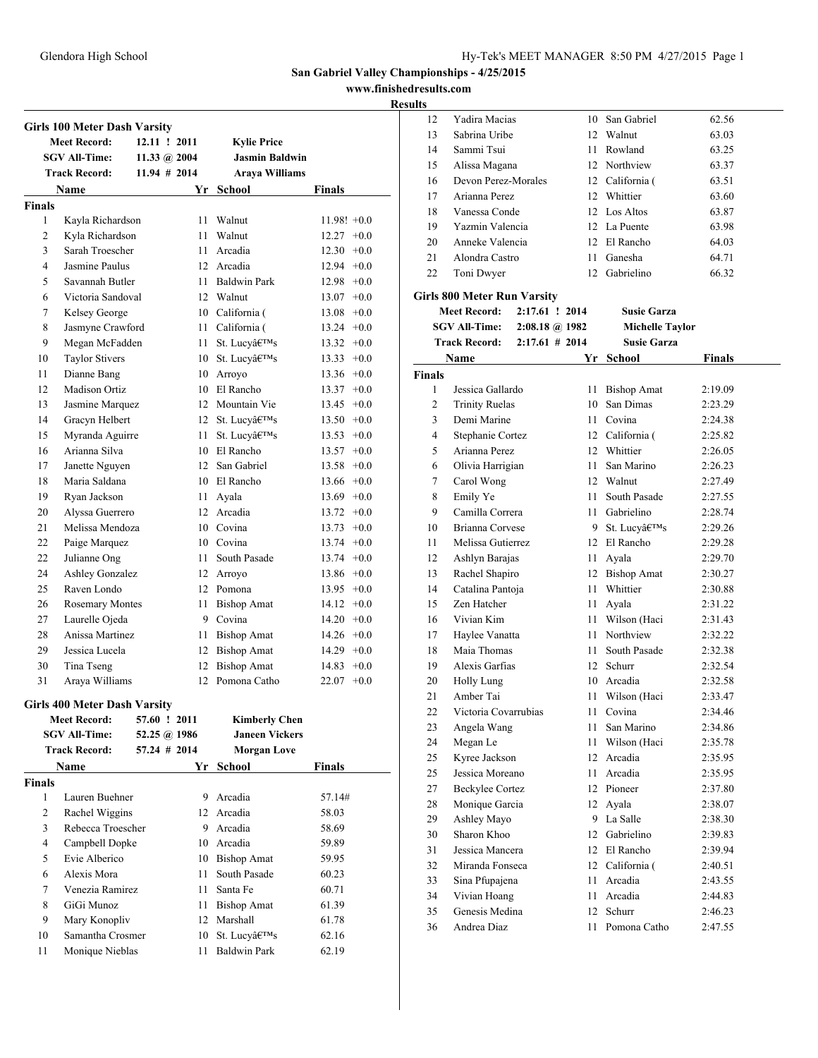**www.finishedresults.com**

|                | <b>Girls 100 Meter Dash Varsity</b> |                 |      |                       |               |
|----------------|-------------------------------------|-----------------|------|-----------------------|---------------|
|                | <b>Meet Record:</b>                 | 12.11 ! 2011    |      | <b>Kylie Price</b>    |               |
|                | <b>SGV All-Time:</b>                | 11.33 @ $2004$  |      | <b>Jasmin Baldwin</b> |               |
|                | <b>Track Record:</b>                | $11.94 \# 2014$ |      | <b>Araya Williams</b> |               |
|                | <b>Name</b>                         |                 |      | Yr School             | Finals        |
| <b>Finals</b>  |                                     |                 |      |                       |               |
| 1              | Kayla Richardson                    |                 |      | 11 Walnut             | $11.98! +0.0$ |
| $\overline{c}$ | Kyla Richardson                     |                 |      | 11 Walnut             | $12.27 +0.0$  |
| 3              | Sarah Troescher                     |                 |      | 11 Arcadia            | $12.30 +0.0$  |
| 4              | Jasmine Paulus                      |                 |      | 12 Arcadia            | $12.94 +0.0$  |
| 5              | Savannah Butler                     |                 |      | 11 Baldwin Park       | $12.98 + 0.0$ |
| 6              | Victoria Sandoval                   |                 |      | 12 Walnut             | $13.07 +0.0$  |
| 7              | Kelsey George                       |                 |      | 10 California (       | $13.08 + 0.0$ |
| 8              | Jasmyne Crawford                    |                 |      | 11 California (       | $13.24 +0.0$  |
| 9              | Megan McFadden                      |                 | 11 - | St. Lucy's            | $13.32 +0.0$  |
| 10             | <b>Taylor Stivers</b>               |                 |      | 10 St. Lucy's         | $13.33 + 0.0$ |
| 11             | Dianne Bang                         |                 |      | 10 Arroyo             | $13.36 +0.0$  |
| 12             | Madison Ortiz                       |                 |      | 10 El Rancho          | $13.37 +0.0$  |
| 13             | Jasmine Marquez                     |                 |      | 12 Mountain Vie       | $13.45 +0.0$  |
| 14             | Gracyn Helbert                      |                 |      | 12 St. Lucv's         | $13.50 +0.0$  |
| 15             | Myranda Aguirre                     |                 | 11   | St. Lucy's            | $13.53 +0.0$  |
| 16             | Arianna Silva                       |                 |      | 10 El Rancho          | $13.57 +0.0$  |
|                | Janette Nguyen                      |                 |      |                       |               |
| 17             | Maria Saldana                       |                 |      | 12 San Gabriel        | $13.58 + 0.0$ |
| 18             |                                     |                 |      | 10 El Rancho          | $13.66 + 0.0$ |
| 19             | Ryan Jackson                        |                 |      | 11 Ayala              | $13.69 + 0.0$ |
| 20             | Alyssa Guerrero                     |                 |      | 12 Arcadia            | $13.72 +0.0$  |
| 21             | Melissa Mendoza                     |                 |      | 10 Covina             | $13.73 +0.0$  |
| 22             | Paige Marquez                       |                 |      | 10 Covina             | $13.74 +0.0$  |
| 22             | Julianne Ong                        |                 | 11 - | South Pasade          | $13.74 +0.0$  |
| 24             | Ashley Gonzalez                     |                 |      | 12 Arroyo             | $13.86 +0.0$  |
| 25             | Raven Londo                         |                 |      | 12 Pomona             | $13.95 +0.0$  |
| 26             | <b>Rosemary Montes</b>              |                 |      | 11 Bishop Amat        | $14.12 +0.0$  |
| 27             | Laurelle Ojeda                      |                 |      | 9 Covina              | $14.20 +0.0$  |
| 28             | Anissa Martinez                     |                 |      | 11 Bishop Amat        | $14.26 +0.0$  |
| 29             | Jessica Lucela                      |                 |      | 12 Bishop Amat        | $14.29 +0.0$  |
| 30             | Tina Tseng                          |                 |      | 12 Bishop Amat        | $14.83 +0.0$  |
| 31             | Araya Williams                      |                 |      | 12 Pomona Catho       | $22.07 +0.0$  |
|                | <b>Girls 400 Meter Dash Varsity</b> |                 |      |                       |               |
|                | <b>Meet Record:</b>                 | 57.60 ! 2011    |      | <b>Kimberly Chen</b>  |               |
|                | <b>SGV All-Time:</b>                | 52.25 @ 1986    |      | <b>Janeen Vickers</b> |               |
|                | <b>Track Record:</b>                | $57.24$ # 2014  |      | <b>Morgan Love</b>    |               |
|                | <b>Name</b>                         |                 |      | Yr School             | Finals        |
| <b>Finals</b>  |                                     |                 |      |                       |               |
| 1              | Lauren Buehner                      |                 |      | 9 Arcadia             | 57.14#        |
| 2              | Rachel Wiggins                      |                 |      | 12 Arcadia            | 58.03         |
| 3              | Rebecca Troescher                   |                 |      | 9 Arcadia             | 58.69         |
|                |                                     |                 |      |                       |               |
| 4              | Campbell Dopke                      |                 |      | 10 Arcadia            | 59.89         |
| 5              | Evie Alberico                       |                 |      | 10 Bishop Amat        | 59.95         |
| 6              | Alexis Mora                         |                 | 11   | South Pasade          | 60.23         |
| 7              | Venezia Ramirez                     |                 | 11   | Santa Fe              | 60.71         |
| 8              | GiGi Munoz                          |                 | 11   | <b>Bishop Amat</b>    | 61.39         |
| 9              | Mary Konopliv                       |                 | 12   | Marshall              | 61.78         |
| 10             | Samantha Crosmer                    |                 | 10   | St. Lucy's            | 62.16         |
| 11             | Monique Nieblas                     |                 | 11   | <b>Baldwin Park</b>   | 62.19         |

| 12     | Yadira Macias                      |                          | 10              | San Gabriel            | 62.56         |
|--------|------------------------------------|--------------------------|-----------------|------------------------|---------------|
| 13     | Sabrina Uribe                      |                          | 12              | Walnut                 | 63.03         |
| 14     | Sammi Tsui                         |                          | 11              | Rowland                | 63.25         |
| 15     | Alissa Magana                      |                          |                 | 12 Northview           | 63.37         |
| 16     | Devon Perez-Morales                |                          |                 | 12 California (        | 63.51         |
| 17     | Arianna Perez                      |                          |                 | 12 Whittier            | 63.60         |
| 18     | Vanessa Conde                      |                          |                 | 12 Los Altos           | 63.87         |
| 19     | Yazmin Valencia                    |                          |                 | 12 La Puente           | 63.98         |
| 20     | Anneke Valencia                    |                          |                 | 12 El Rancho           | 64.03         |
| 21     | Alondra Castro                     |                          | 11 -            | Ganesha                | 64.71         |
| 22     | Toni Dwyer                         |                          | 12              | Gabrielino             | 66.32         |
|        |                                    |                          |                 |                        |               |
|        | <b>Girls 800 Meter Run Varsity</b> |                          |                 |                        |               |
|        | <b>Meet Record:</b>                | 2:17.61 ! 2014           |                 | <b>Susie Garza</b>     |               |
|        | <b>SGV All-Time:</b>               | $2:08.18 \; \omega$ 1982 |                 | <b>Michelle Taylor</b> |               |
|        | <b>Track Record:</b>               | $2:17.61$ # 2014         |                 | <b>Susie Garza</b>     |               |
|        | Name                               |                          |                 | Yr School              | <b>Finals</b> |
| Finals |                                    |                          |                 |                        |               |
| 1      | Jessica Gallardo                   |                          | 11              | <b>Bishop Amat</b>     | 2:19.09       |
| 2      | <b>Trinity Ruelas</b>              |                          | 10              | San Dimas              | 2:23.29       |
| 3      | Demi Marine                        |                          |                 | 11 Covina              | 2:24.38       |
| 4      | Stephanie Cortez                   |                          | 12              | California (           | 2:25.82       |
| 5      | Arianna Perez                      |                          | 12              | Whittier               | 2:26.05       |
| 6      | Olivia Harrigian                   |                          | 11              | San Marino             | 2:26.23       |
| 7      | Carol Wong                         |                          | 12 <sup>2</sup> | Walnut                 | 2:27.49       |
| 8      | Emily Ye                           |                          | 11              | South Pasade           | 2:27.55       |
| 9      | Camilla Correra                    |                          | 11              | Gabrielino             | 2:28.74       |
| 10     | Brianna Corvese                    |                          | 9               | St. Lucy's             | 2:29.26       |
| 11     | Melissa Gutierrez                  |                          | 12              | El Rancho              | 2:29.28       |
| 12     | Ashlyn Barajas                     |                          | 11              | Ayala                  | 2:29.70       |
| 13     | Rachel Shapiro                     |                          | 12              | <b>Bishop Amat</b>     | 2:30.27       |
| 14     | Catalina Pantoja                   |                          | 11              | Whittier               | 2:30.88       |
| 15     | Zen Hatcher                        |                          | 11              | Ayala                  | 2:31.22       |
| 16     | Vivian Kim                         |                          | 11              | Wilson (Haci           | 2:31.43       |
| 17     | Haylee Vanatta                     |                          | 11              | Northview              | 2:32.22       |
| 18     | Maia Thomas                        |                          | 11              | South Pasade           | 2:32.38       |
| 19     | Alexis Garfias                     |                          | $12^{\circ}$    | Schurr                 | 2:32.54       |
| 20     | <b>Holly Lung</b>                  |                          |                 | 10 Arcadia             | 2:32.58       |
| 21     | Amber Tai                          |                          | 11              | Wilson (Haci           | 2:33.47       |
| 22     | Victoria Covarrubias               |                          |                 | 11 Covina              | 2:34.46       |
| 23     | Angela Wang                        |                          | 11              | San Marino             | 2:34.86       |
| 24     | Megan Le                           |                          | 11              | Wilson (Haci           | 2:35.78       |
| 25     | Kyree Jackson                      |                          | 12              | Arcadia                | 2:35.95       |
| 25     | Jessica Moreano                    |                          | 11              | Arcadia                | 2:35.95       |
| 27     | <b>Beckylee Cortez</b>             |                          | 12              | Pioneer                | 2:37.80       |
| 28     | Monique Garcia                     |                          | 12              | Avala                  | 2:38.07       |
| 29     | Ashley Mayo                        |                          | 9               | La Salle               | 2:38.30       |
| 30     | Sharon Khoo                        |                          | 12              | Gabrielino             | 2:39.83       |
| 31     | Jessica Mancera                    |                          | 12              | El Rancho              | 2:39.94       |
| 32     | Miranda Fonseca                    |                          | 12              | California (           | 2:40.51       |
| 33     | Sina Pfupajena                     |                          | 11              | Arcadia                | 2:43.55       |
| 34     | Vivian Hoang                       |                          | 11              | Arcadia                | 2:44.83       |
| 35     | Genesis Medina                     |                          | 12              | Schurr                 | 2:46.23       |
| 36     | Andrea Diaz                        |                          | 11              | Pomona Catho           | 2:47.55       |
|        |                                    |                          |                 |                        |               |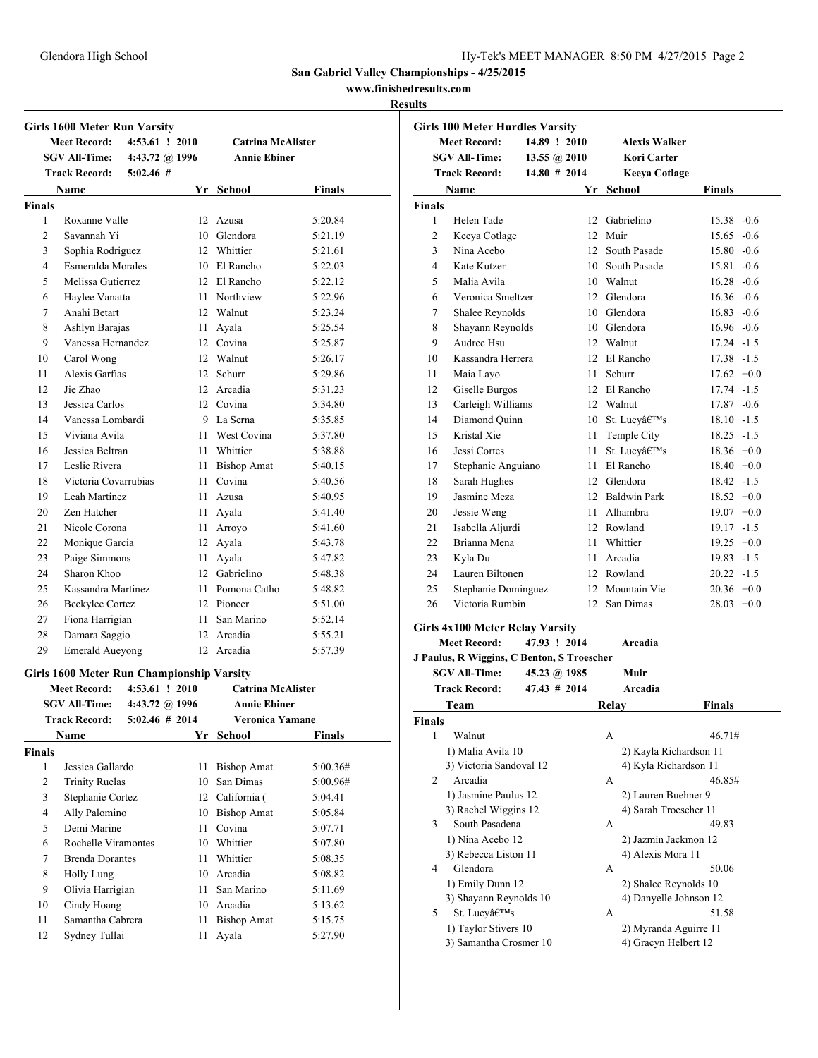### **www.finishedresults.com**

### **Results**

|                | <b>Girls 1600 Meter Run Varsity</b>       |                   |      |                          |               |
|----------------|-------------------------------------------|-------------------|------|--------------------------|---------------|
|                | <b>Meet Record:</b>                       | $4:53.61$ ! 2010  |      | <b>Catrina McAlister</b> |               |
|                | <b>SGV All-Time:</b>                      | 4:43.72 @ 1996    |      | <b>Annie Ebiner</b>      |               |
|                | <b>Track Record:</b>                      | $5:02.46$ #       |      |                          |               |
|                | Name                                      |                   |      | Yr School                | Finals        |
| <b>Finals</b>  |                                           |                   |      |                          |               |
| 1              | Roxanne Valle                             |                   |      | 12 Azusa                 | 5:20.84       |
| 2              | Savannah Yi                               |                   |      | 10 Glendora              | 5:21.19       |
| 3              | Sophia Rodriguez                          |                   |      | 12 Whittier              | 5:21.61       |
| 4              | Esmeralda Morales                         |                   |      | 10 El Rancho             | 5:22.03       |
| 5              | Melissa Gutierrez                         |                   |      | 12 El Rancho             | 5:22.12       |
| 6              | Haylee Vanatta                            |                   |      | 11 Northview             | 5:22.96       |
| 7              | Anahi Betart                              |                   |      | 12 Walnut                | 5:23.24       |
| 8              | Ashlyn Barajas                            |                   |      | 11 Ayala                 | 5:25.54       |
| 9              | Vanessa Hernandez                         |                   |      | 12 Covina                | 5:25.87       |
| 10             | Carol Wong                                |                   |      | 12 Walnut                | 5:26.17       |
| 11             | Alexis Garfias                            |                   |      | 12 Schurr                | 5:29.86       |
| 12             | Jie Zhao                                  |                   |      | 12 Arcadia               | 5:31.23       |
| 13             | Jessica Carlos                            |                   |      | 12 Covina                | 5:34.80       |
| 14             | Vanessa Lombardi                          |                   |      | 9 La Serna               | 5:35.85       |
| 15             | Viviana Avila                             |                   |      | 11 West Covina           | 5:37.80       |
| 16             | Jessica Beltran                           |                   |      | 11 Whittier              | 5:38.88       |
| 17             | Leslie Rivera                             |                   |      | 11 Bishop Amat           | 5:40.15       |
| 18             | Victoria Covarrubias                      |                   | 11 - | Covina                   | 5:40.56       |
| 19             | Leah Martinez                             |                   |      | 11 Azusa                 | 5:40.95       |
| 20             | Zen Hatcher                               |                   |      | 11 Ayala                 | 5:41.40       |
| 21             | Nicole Corona                             |                   |      | 11 Arroyo                | 5:41.60       |
| 22             | Monique Garcia                            |                   |      | 12 Ayala                 | 5:43.78       |
| 23             | Paige Simmons                             |                   |      | 11 Ayala                 | 5:47.82       |
| 24             | Sharon Khoo                               |                   |      | 12 Gabrielino            | 5:48.38       |
| 25             | Kassandra Martinez                        |                   |      | 11 Pomona Catho          | 5:48.82       |
| 26             | <b>Beckylee Cortez</b>                    |                   |      | 12 Pioneer               | 5:51.00       |
| 27             | Fiona Harrigian                           |                   | 11 - | San Marino               | 5:52.14       |
| 28             | Damara Saggio                             |                   |      | 12 Arcadia               | 5:55.21       |
| 29             | <b>Emerald Aueyong</b>                    |                   |      | 12 Arcadia               | 5:57.39       |
|                |                                           |                   |      |                          |               |
|                | Girls 1600 Meter Run Championship Varsity |                   |      |                          |               |
|                | <b>Meet Record:</b>                       | $4:53.61$ ! 2010  |      | <b>Catrina McAlister</b> |               |
|                | SGV All-Time:                             | 4:43.72 @ 1996    |      | <b>Annie Ebiner</b>      |               |
|                | <b>Track Record:</b>                      | $5:02.46 \# 2014$ |      | Veronica Yamane          |               |
|                | Name                                      |                   |      | Yr School                | <b>Finals</b> |
| <b>Finals</b>  |                                           |                   |      |                          |               |
| 1              | Jessica Gallardo                          |                   | 11   | <b>Bishop Amat</b>       | 5:00.36#      |
| $\overline{c}$ | <b>Trinity Ruelas</b>                     |                   | 10   | San Dimas                | 5:00.96#      |
| 3              | Stephanie Cortez                          |                   |      | 12 California (          | 5:04.41       |
| 4              | Ally Palomino                             |                   |      | 10 Bishop Amat           | 5:05.84       |
| 5              | Demi Marine                               |                   | 11   | Covina                   | 5:07.71       |
| 6              | Rochelle Viramontes                       |                   |      | 10 Whittier              | 5:07.80       |
| 7              | <b>Brenda Dorantes</b>                    |                   | 11   | Whittier                 | 5:08.35       |
| 8              | <b>Holly Lung</b>                         |                   |      | 10 Arcadia               | 5:08.82       |
| 9              | Olivia Harrigian                          |                   | 11   | San Marino               | 5:11.69       |
| 10             | Cindy Hoang                               |                   | 10   | Arcadia                  | 5:13.62       |
| 11             | Samantha Cabrera                          |                   | 11   | <b>Bishop Amat</b>       | 5:15.75       |
| 12             | Sydney Tullai                             |                   | 11   | Ayala                    | 5:27.90       |

| <b>Girls 100 Meter Hurdles Varsity</b> |                                                               |                     |     |                                              |                        |  |
|----------------------------------------|---------------------------------------------------------------|---------------------|-----|----------------------------------------------|------------------------|--|
|                                        | <b>Meet Record:</b>                                           | 14.89 ! 2010        |     | <b>Alexis Walker</b>                         |                        |  |
|                                        | <b>SGV All-Time:</b>                                          | 13.55 $\omega$ 2010 |     | <b>Kori Carter</b>                           |                        |  |
|                                        | <b>Track Record:</b>                                          | $14.80 \# 2014$     |     | <b>Keeya Cotlage</b>                         |                        |  |
|                                        | Name                                                          |                     |     | Yr School                                    | <b>Finals</b>          |  |
| <b>Finals</b>                          |                                                               |                     |     |                                              |                        |  |
| 1                                      | Helen Tade                                                    |                     |     | 12 Gabrielino                                | $15.38 - 0.6$          |  |
| 2                                      | Keeya Cotlage                                                 |                     |     | 12 Muir                                      | $15.65 - 0.6$          |  |
| 3                                      | Nina Acebo                                                    |                     |     | 12 South Pasade                              | $15.80 - 0.6$          |  |
| 4                                      | Kate Kutzer                                                   |                     |     | 10 South Pasade                              | $15.81 - 0.6$          |  |
| 5                                      | Malia Avila                                                   |                     |     | 10 Walnut                                    | $16.28 - 0.6$          |  |
| 6                                      | Veronica Smeltzer                                             |                     |     | 12 Glendora                                  | $16.36 - 0.6$          |  |
| 7                                      | Shalee Reynolds                                               |                     |     | 10 Glendora                                  | $16.83 - 0.6$          |  |
| 8                                      | Shayann Reynolds                                              |                     |     | 10 Glendora                                  | $16.96 - 0.6$          |  |
| 9                                      | Audree Hsu                                                    |                     |     | 12 Walnut                                    | $17.24 - 1.5$          |  |
| 10                                     | Kassandra Herrera                                             |                     |     | 12 El Rancho                                 | $17.38 - 1.5$          |  |
| 11                                     | Maia Layo                                                     |                     |     | 11 Schurr                                    | $17.62 +0.0$           |  |
| 12                                     | Giselle Burgos                                                |                     |     | 12 El Rancho                                 | 17.74 -1.5             |  |
| 13                                     | Carleigh Williams                                             |                     |     | 12 Walnut                                    | $17.87 - 0.6$          |  |
| 14                                     | Diamond Ouinn                                                 |                     |     | 10 St. Lucy's                                | $18.10 - 1.5$          |  |
| 15                                     | Kristal Xie                                                   |                     | 11  | Temple City                                  | $18.25 - 1.5$          |  |
| 16                                     | Jessi Cortes                                                  |                     | 11. | St. Lucy's                                   | $18.36 + 0.0$          |  |
| 17                                     |                                                               |                     |     | 11 El Rancho                                 | $18.40 +0.0$           |  |
|                                        | Stephanie Anguiano<br>Sarah Hughes                            |                     |     | 12 Glendora                                  | $18.42 - 1.5$          |  |
| 18                                     | Jasmine Meza                                                  |                     |     | 12 Baldwin Park                              |                        |  |
| 19                                     |                                                               |                     |     |                                              | $18.52 +0.0$           |  |
| 20                                     | Jessie Weng                                                   |                     |     | 11 Alhambra                                  | $19.07 +0.0$           |  |
| 21                                     | Isabella Aljurdi                                              |                     |     | 12 Rowland                                   | $19.17 - 1.5$          |  |
| 22                                     | Brianna Mena                                                  |                     |     | 11 Whittier                                  | $19.25 +0.0$           |  |
| 23                                     | Kyla Du                                                       |                     |     | 11 Arcadia                                   | $19.83 - 1.5$          |  |
| 24                                     | Lauren Biltonen                                               |                     |     | 12 Rowland                                   | $20.22 - 1.5$          |  |
| 25                                     | Stephanie Dominguez                                           |                     |     | 12 Mountain Vie                              | $20.36 +0.0$           |  |
| 26                                     | Victoria Rumbin                                               |                     |     | 12 San Dimas                                 | $28.03 +0.0$           |  |
|                                        | <b>Girls 4x100 Meter Relay Varsity</b><br><b>Meet Record:</b> |                     |     | Arcadia                                      |                        |  |
|                                        | J Paulus, R Wiggins, C Benton, S Troescher                    | 47.93 ! 2014        |     |                                              |                        |  |
|                                        | <b>SGV All-Time:</b>                                          |                     |     | Muir                                         |                        |  |
|                                        |                                                               | 45.23 @ 1985        |     |                                              |                        |  |
|                                        | <b>Track Record:</b>                                          | $47.43 \# 2014$     |     | Arcadia                                      |                        |  |
|                                        | Team                                                          |                     |     | Relav                                        | Finals                 |  |
| <b>Finals</b>                          |                                                               |                     |     |                                              |                        |  |
| 1                                      | Walnut                                                        |                     |     | А                                            | 46.71#                 |  |
|                                        | 1) Malia Avila 10                                             |                     |     |                                              | 2) Kayla Richardson 11 |  |
|                                        | 3) Victoria Sandoval 12                                       |                     |     | 4) Kyla Richardson 11                        |                        |  |
| 2                                      | Arcadia                                                       |                     |     | A                                            | 46.85#                 |  |
|                                        | 1) Jasmine Paulus 12                                          |                     |     | 2) Lauren Buehner 9<br>4) Sarah Troescher 11 |                        |  |
| 3                                      | 3) Rachel Wiggins 12<br>South Pasadena                        |                     |     |                                              |                        |  |
|                                        | 1) Nina Acebo 12                                              |                     |     | A<br>2) Jazmin Jackmon 12                    | 49.83                  |  |
|                                        | 3) Rebecca Liston 11                                          |                     |     | 4) Alexis Mora 11                            |                        |  |
| 4                                      | Glendora                                                      |                     |     | A                                            | 50.06                  |  |
|                                        | 1) Emily Dunn 12                                              |                     |     |                                              |                        |  |
|                                        | 3) Shayann Reynolds 10                                        |                     |     | 2) Shalee Reynolds 10                        | 4) Danyelle Johnson 12 |  |
| 5                                      | St. Lucy's                                                    |                     |     | A                                            | 51.58                  |  |
|                                        |                                                               |                     |     |                                              |                        |  |
|                                        | 1) Taylor Stivers 10<br>3) Samantha Crosmer 10                |                     |     | 4) Gracyn Helbert 12                         | 2) Myranda Aguirre 11  |  |
|                                        |                                                               |                     |     |                                              |                        |  |
|                                        |                                                               |                     |     |                                              |                        |  |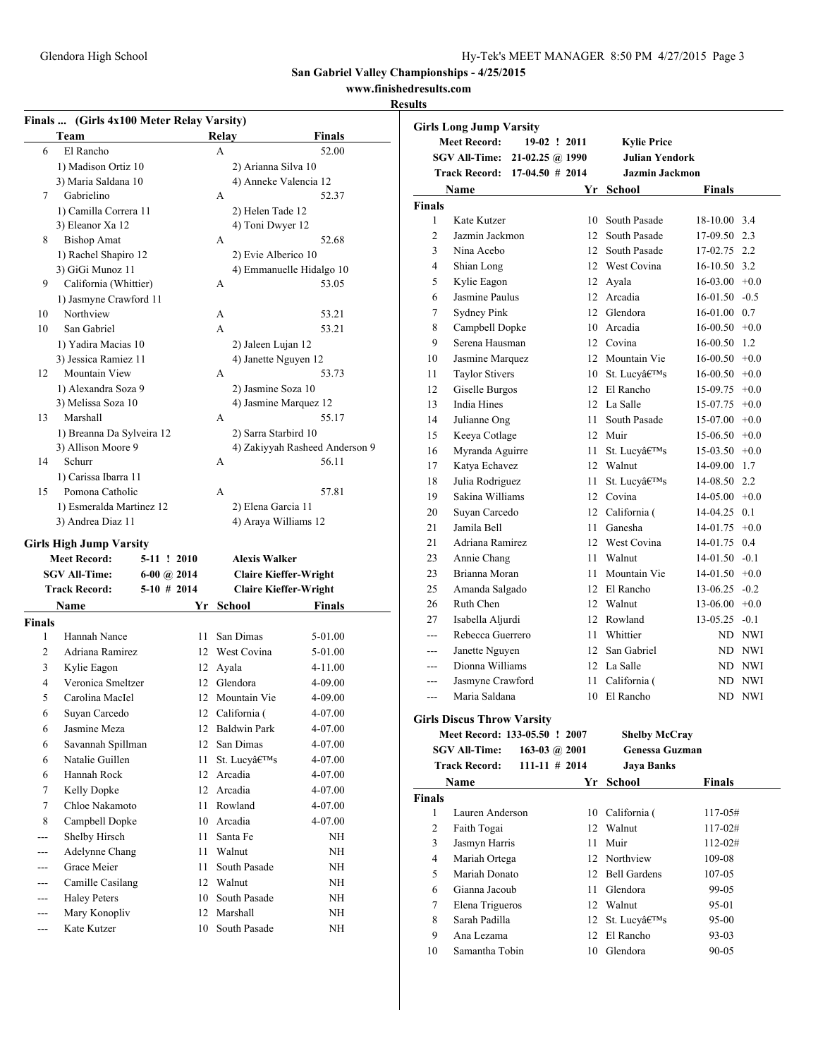**San Gabriel Valley Championships - 4/25/2015**

### **www.finishedresults.com**

|                | Team                                    | Relay                        | Finals                         |                               | <b>Girls Long Jump Varsity</b><br><b>Meet Record:</b> | 19-02 ! 2011                  |    | <b>Kylie Price</b>    |                  |        |
|----------------|-----------------------------------------|------------------------------|--------------------------------|-------------------------------|-------------------------------------------------------|-------------------------------|----|-----------------------|------------------|--------|
| 6              | El Rancho                               | A                            | 52.00                          |                               |                                                       | SGV All-Time: 21-02.25 @ 1990 |    | <b>Julian Yendork</b> |                  |        |
|                | 1) Madison Ortiz 10                     | 2) Arianna Silva 10          |                                |                               |                                                       |                               |    |                       |                  |        |
|                | 3) Maria Saldana 10                     | 4) Anneke Valencia 12        |                                |                               |                                                       | Track Record: 17-04.50 # 2014 |    | Jazmin Jackmon        |                  |        |
| 7              | Gabrielino                              | A                            | 52.37                          |                               | Name                                                  |                               |    | Yr School             | Finals           |        |
|                | 1) Camilla Correra 11                   | 2) Helen Tade 12             |                                | Finals                        |                                                       |                               |    |                       |                  |        |
|                | 3) Eleanor Xa 12                        | 4) Toni Dwyer 12             |                                | 1                             | Kate Kutzer                                           |                               |    | 10 South Pasade       | 18-10.00 3.4     |        |
| 8              | <b>Bishop Amat</b>                      | A                            | 52.68                          | $\overline{2}$                | Jazmin Jackmon                                        |                               |    | 12 South Pasade       | 17-09.50 2.3     |        |
|                | 1) Rachel Shapiro 12                    | 2) Evie Alberico 10          |                                | 3                             | Nina Acebo                                            |                               |    | 12 South Pasade       | 17-02.75 2.2     |        |
|                | 3) GiGi Munoz 11                        | 4) Emmanuelle Hidalgo 10     |                                | $\overline{4}$                | Shian Long                                            |                               |    | 12 West Covina        | $16-10.50$ 3.2   |        |
| 9              | California (Whittier)                   | A                            | 53.05                          | 5                             | Kylie Eagon                                           |                               |    | 12 Ayala              | $16-03.00 + 0.0$ |        |
|                | 1) Jasmyne Crawford 11                  |                              |                                | 6                             | Jasmine Paulus                                        |                               |    | 12 Arcadia            | $16-01.50 -0.5$  |        |
| 10             | Northview                               | A                            | 53.21                          | $\overline{7}$                | Sydney Pink                                           |                               |    | 12 Glendora           | $16-01.00$ 0.7   |        |
| 10             | San Gabriel                             | A                            | 53.21                          | 8                             | Campbell Dopke                                        |                               |    | 10 Arcadia            | $16-00.50 + 0.0$ |        |
|                | 1) Yadira Macias 10                     | 2) Jaleen Lujan 12           |                                | 9                             | Serena Hausman                                        |                               |    | 12 Covina             | $16-00.50$ 1.2   |        |
|                | 3) Jessica Ramiez 11                    | 4) Janette Nguyen 12         |                                | 10                            | Jasmine Marquez                                       |                               |    | 12 Mountain Vie       | $16-00.50 + 0.0$ |        |
| 12             | Mountain View                           | A                            | 53.73                          | 11                            | <b>Taylor Stivers</b>                                 |                               |    | 10 St. Lucy's         | $16-00.50 + 0.0$ |        |
|                | 1) Alexandra Soza 9                     | 2) Jasmine Soza 10           |                                | 12                            | Giselle Burgos                                        |                               |    | 12 El Rancho          | 15-09.75         | $+0.0$ |
|                | 3) Melissa Soza 10                      | 4) Jasmine Marquez 12        |                                | 13                            | <b>India Hines</b>                                    |                               |    | 12 La Salle           | 15-07.75         | $+0.0$ |
| 13             | Marshall                                | A                            | 55.17                          | 14                            | Julianne Ong                                          |                               |    | 11 South Pasade       | $15-07.00 +0.0$  |        |
|                | 1) Breanna Da Sylveira 12               | 2) Sarra Starbird 10         |                                | 15                            | Keeya Cotlage                                         |                               |    | 12 Muir               | $15-06.50 +0.0$  |        |
|                | 3) Allison Moore 9                      |                              | 4) Zakiyyah Rasheed Anderson 9 | 16                            | Myranda Aguirre                                       |                               |    | 11 St. Lucy's         | $15-03.50 +0.0$  |        |
| 14             | Schurr                                  | A                            | 56.11                          | 17                            | Katya Echavez                                         |                               | 12 | Walnut                | 14-09.00 1.7     |        |
|                | 1) Carissa Ibarra 11                    |                              |                                | 18                            | Julia Rodriguez                                       |                               | 11 | St. Lucy's            | 14-08.50 2.2     |        |
| 15             | Pomona Catholic                         | A                            | 57.81                          | 19                            | Sakina Williams                                       |                               |    | 12 Covina             | $14-05.00 +0.0$  |        |
|                | 1) Esmeralda Martinez 12                | 2) Elena Garcia 11           |                                | 20                            | Suyan Carcedo                                         |                               |    | 12 California (       | 14-04.25 0.1     |        |
|                | 3) Andrea Diaz 11                       | 4) Araya Williams 12         |                                | 21                            | Jamila Bell                                           |                               |    | 11 Ganesha            | $14-01.75$ +0.0  |        |
|                | <b>Girls High Jump Varsity</b>          |                              |                                | 21                            | Adriana Ramirez                                       |                               |    | 12 West Covina        | 14-01.75 0.4     |        |
|                | <b>Meet Record:</b><br>5-11 ! 2010      | <b>Alexis Walker</b>         |                                | 23                            | Annie Chang                                           |                               | 11 | Walnut                | $14-01.50 -0.1$  |        |
|                | <b>SGV All-Time:</b><br>$6-00$ (a) 2014 | <b>Claire Kieffer-Wright</b> |                                | 23                            | Brianna Moran                                         |                               | 11 | Mountain Vie          | $14-01.50 +0.0$  |        |
|                | <b>Track Record:</b><br>$5-10$ # 2014   | <b>Claire Kieffer-Wright</b> |                                | 25                            | Amanda Salgado                                        |                               |    | 12 El Rancho          | 13-06.25         | $-0.2$ |
|                | Name                                    | Yr School                    | <b>Finals</b>                  | 26                            | Ruth Chen                                             |                               |    | 12 Walnut             | $13-06.00 +0.0$  |        |
| <b>Finals</b>  |                                         |                              |                                | 27                            | Isabella Aljurdi                                      |                               |    | 12 Rowland            | 13-05.25         | $-0.1$ |
| 1              | Hannah Nance                            | 11 San Dimas                 | 5-01.00                        | $\hspace{1.5cm} \textbf{---}$ | Rebecca Guerrero                                      |                               | 11 | Whittier              |                  | ND NWI |
| $\overline{2}$ | Adriana Ramirez                         | 12 West Covina               | 5-01.00                        | $\qquad \qquad \text{---}$    | Janette Nguyen                                        |                               | 12 | San Gabriel           |                  | ND NWI |
| 3              | Kylie Eagon                             | 12 Ayala                     | $4 - 11.00$                    | $\qquad \qquad \text{---}$    | Dionna Williams                                       |                               |    | 12 La Salle           |                  | ND NWI |
| $\overline{4}$ | Veronica Smeltzer                       | 12 Glendora                  | 4-09.00                        | ---                           | Jasmyne Crawford                                      |                               |    | 11 California (       |                  | ND NWI |
|                |                                         | 12 Mountain Vie              |                                | $---$                         | Maria Saldana                                         |                               |    | 10 El Rancho          |                  | ND NWI |
| 5              | Carolina MacIel                         |                              | 4-09.00                        |                               |                                                       |                               |    |                       |                  |        |
| 6              | Suyan Carcedo                           | 12 California (              | 4-07.00                        |                               | <b>Girls Discus Throw Varsity</b>                     |                               |    |                       |                  |        |
| 6              | Jasmine Meza                            | 12 Baldwin Park              | 4-07.00                        |                               |                                                       | Meet Record: 133-05.50 ! 2007 |    | <b>Shelby McCray</b>  |                  |        |
| 6              | Savannah Spillman                       | 12 San Dimas                 | 4-07.00                        |                               | <b>SGV All-Time:</b>                                  | 163-03 @ $2001$               |    | Genessa Guzman        |                  |        |
| 6              | Natalie Guillen                         | 11 St. Lucy's                | 4-07.00                        |                               | <b>Track Record:</b>                                  | $111 - 11$ # 2014             |    | <b>Jaya Banks</b>     |                  |        |
| 6              | Hannah Rock                             | 12 Arcadia                   | 4-07.00                        |                               | Name                                                  |                               |    | Yr School             | <b>Finals</b>    |        |
| 7              | Kelly Dopke                             | 12 Arcadia                   | 4-07.00                        | Finals                        |                                                       |                               |    |                       |                  |        |
| 7              | Chloe Nakamoto                          | 11 Rowland                   | 4-07.00                        | 1                             | Lauren Anderson                                       |                               |    | 10 California (       | 117-05#          |        |
| 8              | Campbell Dopke                          | 10 Arcadia                   | 4-07.00                        | $\overline{2}$                | Faith Togai                                           |                               |    | 12 Walnut             | 117-02#          |        |
| $---$          | Shelby Hirsch                           | 11 Santa Fe                  | NH                             | 3                             | Jasmyn Harris                                         |                               |    | 11 Muir               | $112 - 02#$      |        |
| $---$          | Adelynne Chang                          | 11 Walnut                    | NH                             | $\overline{4}$                | Mariah Ortega                                         |                               |    | 12 Northview          | 109-08           |        |
| $---$          | Grace Meier                             | 11 South Pasade              | NH                             | 5                             | Mariah Donato                                         |                               |    | 12 Bell Gardens       | 107-05           |        |
| $---$          | Camille Casilang                        | 12 Walnut                    | NH                             | 6                             | Gianna Jacoub                                         |                               |    | 11 Glendora           | 99-05            |        |
| $---$          | <b>Haley Peters</b>                     | 10 South Pasade              | NH                             |                               |                                                       |                               |    | 12 Walnut             | 95-01            |        |
| $---$          | Mary Konopliv                           | 12 Marshall                  | NH                             | 7                             | Elena Trigueros                                       |                               |    |                       |                  |        |
| ---            | Kate Kutzer                             | 10 South Pasade              | $\rm{NH}$                      | 8                             | Sarah Padilla                                         |                               |    | 12 St. Lucy's         | 95-00            |        |
|                |                                         |                              |                                | 9                             | Ana Lezama                                            |                               |    | 12 El Rancho          | 93-03            |        |
|                |                                         |                              |                                | 10                            | Samantha Tobin                                        |                               |    | 10 Glendora           | 90-05            |        |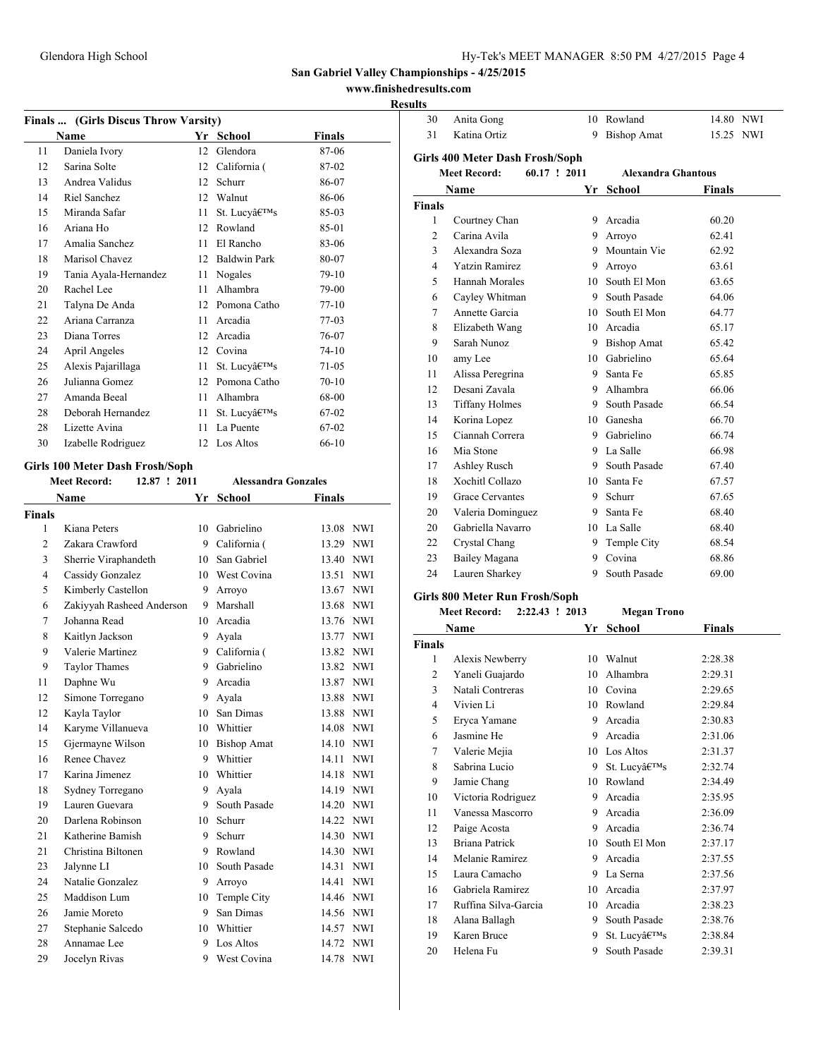**www.finishedresults.com**

### **Results**

|    | Finals  (Girls Discus Throw Varsity) |    |                     |               |
|----|--------------------------------------|----|---------------------|---------------|
|    | Name                                 |    | Yr School           | <b>Finals</b> |
| 11 | Daniela Ivory                        | 12 | Glendora            | 87-06         |
| 12 | Sarina Solte                         | 12 | California (        | 87-02         |
| 13 | Andrea Validus                       | 12 | Schurr              | 86-07         |
| 14 | Riel Sanchez                         | 12 | Walnut              | 86-06         |
| 15 | Miranda Safar                        | 11 | St. Lucy's          | 85-03         |
| 16 | Ariana Ho                            | 12 | Rowland             | 85-01         |
| 17 | Amalia Sanchez                       | 11 | El Rancho           | 83-06         |
| 18 | Marisol Chavez                       | 12 | <b>Baldwin Park</b> | 80-07         |
| 19 | Tania Ayala-Hernandez                | 11 | Nogales             | $79-10$       |
| 20 | Rachel Lee                           | 11 | Alhambra            | 79-00         |
| 21 | Talyna De Anda                       | 12 | Pomona Catho        | $77-10$       |
| 22 | Ariana Carranza                      | 11 | Arcadia             | $77-03$       |
| 23 | Diana Torres                         | 12 | Arcadia             | 76-07         |
| 24 | April Angeles                        | 12 | Covina              | $74-10$       |
| 25 | Alexis Pajarillaga                   | 11 | St. Lucy's          | 71-05         |
| 26 | Julianna Gomez                       | 12 | Pomona Catho        | $70 - 10$     |
| 27 | Amanda Beeal                         | 11 | Alhambra            | 68-00         |
| 28 | Deborah Hernandez                    | 11 | St. Lucy's          | 67-02         |
| 28 | Lizette Avina                        | 11 | La Puente           | 67-02         |
| 30 | Izabelle Rodriguez                   |    | 12 Los Altos        | $66-10$       |
|    | Girls 100 Meter Dash Frosh/Soph      |    |                     |               |

# **Meet Record: 12.87 ! 2011 Alessandra Gonzales**

|                | Name                      |         | Yr School          | <b>Finals</b> |            |
|----------------|---------------------------|---------|--------------------|---------------|------------|
| <b>Finals</b>  |                           |         |                    |               |            |
| $\mathbf{1}$   | Kiana Peters              | 10      | Gabrielino         | 13.08 NWI     |            |
| $\overline{2}$ | Zakara Crawford           | 9       | California (       | 13.29 NWI     |            |
| 3              | Sherrie Viraphandeth      | 10      | San Gabriel        | 13.40 NWI     |            |
| $\overline{4}$ | Cassidy Gonzalez          |         | 10 West Covina     | 13.51 NWI     |            |
| 5              | Kimberly Castellon        | 9       | Arroyo             | 13.67         | <b>NWI</b> |
| 6              | Zakiyyah Rasheed Anderson | 9       | Marshall           | 13.68 NWI     |            |
| $\overline{7}$ | Johanna Read              |         | 10 Arcadia         | 13.76 NWI     |            |
| 8              | Kaitlyn Jackson           | 9.      | Ayala              | 13.77 NWI     |            |
| 9              | Valerie Martinez          |         | 9 California (     | 13.82 NWI     |            |
| 9              | <b>Taylor Thames</b>      | 9       | Gabrielino         | 13.82 NWI     |            |
| 11             | Daphne Wu                 | 9       | Arcadia            | 13.87         | <b>NWI</b> |
| 12             | Simone Torregano          | 9       | Avala              | 13.88 NWI     |            |
| 12             | Kayla Taylor              | 10      | San Dimas          | 13.88 NWI     |            |
| 14             | Karyme Villanueva         | 10      | Whittier           | 14.08 NWI     |            |
| 15             | Gjermayne Wilson          | 10      | <b>Bishop Amat</b> | 14.10 NWI     |            |
| 16             | Renee Chavez              | 9       | Whittier           | 14.11         | <b>NWI</b> |
| 17             | Karina Jimenez            | $10-10$ | Whittier           | 14.18 NWI     |            |
| 18             | Sydney Torregano          | 9       | Avala              | 14.19 NWI     |            |
| 19             | Lauren Guevara            | 9       | South Pasade       | 14.20 NWI     |            |
| 20             | Darlena Robinson          | 10      | Schurr             | 14.22 NWI     |            |
| 21             | Katherine Bamish          | 9       | Schurr             | 14.30 NWI     |            |
| 21             | Christina Biltonen        | 9       | Rowland            | 14.30 NWI     |            |
| 23             | Jalynne LI                | 10      | South Pasade       | 14.31 NWI     |            |
| 24             | Natalie Gonzalez          | 9       | Arroyo             | 14.41         | <b>NWI</b> |
| 25             | Maddison Lum              | 10      | Temple City        | 14.46 NWI     |            |
| 26             | Jamie Moreto              | 9       | San Dimas          | 14.56 NWI     |            |
| 27             | Stephanie Salcedo         | 10      | Whittier           | 14.57         | <b>NWI</b> |
| 28             | Annamae Lee               | 9       | Los Altos          | 14.72 NWI     |            |
| 29             | Jocelyn Rivas             | 9       | West Covina        | 14.78 NWI     |            |
|                |                           |         |                    |               |            |

| 30                       | Anita Gong                            |              | 10 Rowland                | 14.80 NWI     |  |
|--------------------------|---------------------------------------|--------------|---------------------------|---------------|--|
| 31                       | Katina Ortiz                          | 9            | <b>Bishop Amat</b>        | 15.25 NWI     |  |
|                          | Girls 400 Meter Dash Frosh/Soph       |              |                           |               |  |
|                          | <b>Meet Record:</b>                   | 60.17 ! 2011 | <b>Alexandra Ghantous</b> |               |  |
|                          | Name                                  | Yr           | <b>School</b>             | Finals        |  |
| <b>Finals</b>            |                                       |              |                           |               |  |
| 1                        | Courtney Chan                         |              | 9 Arcadia                 | 60.20         |  |
| $\overline{c}$           | Carina Avila                          |              | 9 Arroyo                  | 62.41         |  |
| 3                        | Alexandra Soza                        |              | 9 Mountain Vie            | 62.92         |  |
| 4                        | <b>Yatzin Ramirez</b>                 | 9.           | Arroyo                    | 63.61         |  |
| 5                        | Hannah Morales                        | 10           | South El Mon              | 63.65         |  |
| 6                        | Cayley Whitman                        |              | 9 South Pasade            | 64.06         |  |
| 7                        | Annette Garcia                        |              | 10 South El Mon           | 64.77         |  |
| 8                        | Elizabeth Wang                        |              | 10 Arcadia                | 65.17         |  |
| 9                        | Sarah Nunoz                           |              | 9 Bishop Amat             | 65.42         |  |
| 10                       | amy Lee                               |              | 10 Gabrielino             | 65.64         |  |
| 11                       | Alissa Peregrina                      | 9            | Santa Fe                  | 65.85         |  |
| 12                       | Desani Zavala                         |              | 9 Alhambra                | 66.06         |  |
| 13                       | <b>Tiffany Holmes</b>                 |              | 9 South Pasade            | 66.54         |  |
| 14                       | Korina Lopez                          |              | 10 Ganesha                | 66.70         |  |
| 15                       | Ciannah Correra                       |              | 9 Gabrielino              | 66.74         |  |
| 16                       | Mia Stone                             |              | 9 La Salle                | 66.98         |  |
| 17                       | Ashley Rusch                          |              | 9 South Pasade            | 67.40         |  |
| 18                       | Xochitl Collazo                       |              | 10 Santa Fe               | 67.57         |  |
| 19                       | Grace Cervantes                       | 9            | Schurr                    | 67.65         |  |
| 20                       | Valeria Dominguez                     | 9            | Santa Fe                  | 68.40         |  |
| 20                       | Gabriella Navarro                     |              | 10 La Salle               | 68.40         |  |
| 22                       | Crystal Chang                         | 9            | Temple City               | 68.54         |  |
| 23                       | Bailey Magana                         | 9.           | Covina                    | 68.86         |  |
| 24                       | Lauren Sharkey                        | 9            | South Pasade              | 69.00         |  |
|                          | Girls 800 Meter Run Frosh/Soph        |              |                           |               |  |
|                          | <b>Meet Record:</b><br>2:22.43 ! 2013 |              | <b>Megan Trono</b>        |               |  |
|                          | Name                                  | Yr           | <b>School</b>             | <b>Finals</b> |  |
| <b>Finals</b>            |                                       |              |                           |               |  |
| 1                        | Alexis Newberry                       |              | 10 Walnut                 | 2:28.38       |  |
| $\overline{c}$           | Yaneli Guajardo                       |              | 10 Alhambra               | 2:29.31       |  |
| 3                        | Natali Contreras                      |              | 10 Covina                 | 2:29.65       |  |
| $\overline{\mathcal{L}}$ | Vivien Li                             |              | 10 Rowland                | 2:29.84       |  |
| 5                        | Eryca Yamane                          | 9            | Arcadia                   | 2:30.83       |  |

 Jasmine He 9 Arcadia 2:31.06 Valerie Mejia 10 Los Altos 2:31.37 8 Sabrina Lucio 9 St. Lucy $\hat{\mathfrak{a}} \in \mathbb{R}^{32.74}$  Jamie Chang 10 Rowland 2:34.49 Victoria Rodriguez 9 Arcadia 2:35.95 Vanessa Mascorro 9 Arcadia 2:36.09 Paige Acosta 9 Arcadia 2:36.74 Briana Patrick 10 South El Mon 2:37.17 14 Melanie Ramirez 9 Arcadia 2:37.55 Laura Camacho 9 La Serna 2:37.56 Gabriela Ramirez 10 Arcadia 2:37.97 Ruffina Silva-Garcia 10 Arcadia 2:38.23 Alana Ballagh 9 South Pasade 2:38.76 19 Karen Bruce 9 St. Lucy $\hat{a} \in \mathbb{R}^{38}$  2:38.84 20 Helena Fu 9 South Pasade 2:39.31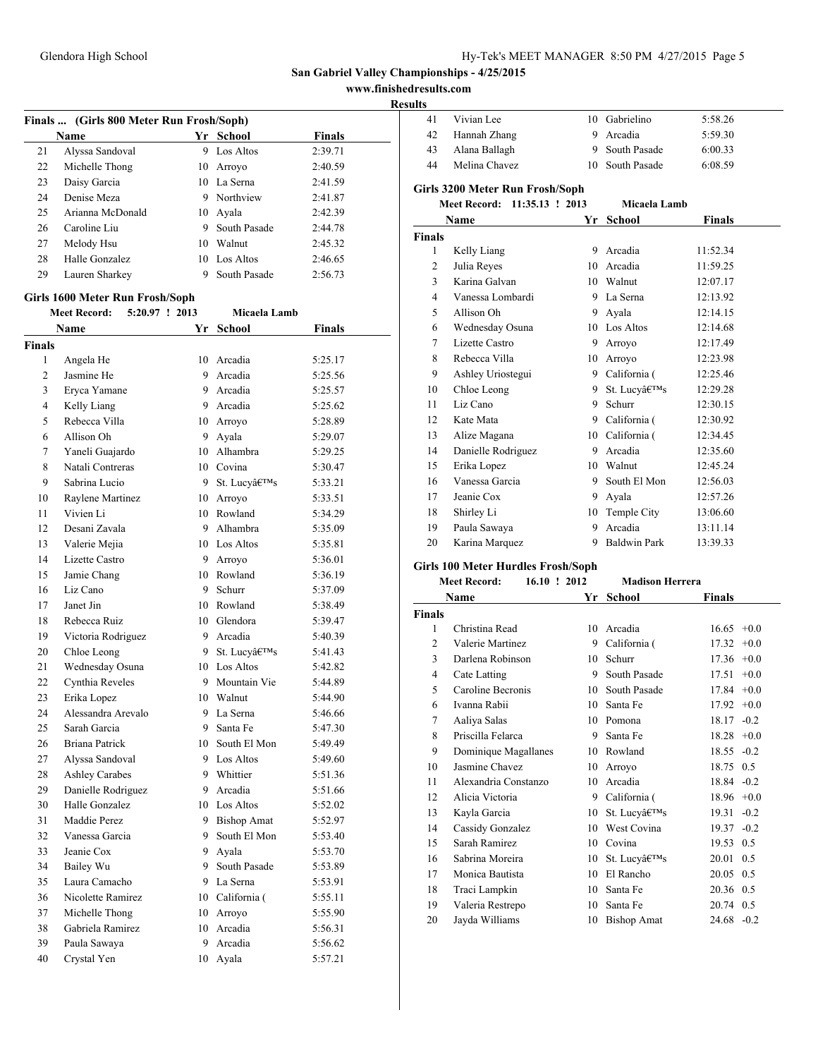Vivian Lee 10 Gabrielino 5:58.26

**San Gabriel Valley Championships - 4/25/2015**

**www.finishedresults.com**

|               | Finals  (Girls 800 Meter Run Frosh/Soph)<br>Name |                | Yr School                   | Finals  |
|---------------|--------------------------------------------------|----------------|-----------------------------|---------|
| 21            | Alyssa Sandoval                                  |                | 9 Los Altos                 | 2:39.71 |
| 22            | Michelle Thong                                   |                | 10 Arroyo                   | 2:40.59 |
| 23            | Daisy Garcia                                     |                | 10 La Serna                 | 2:41.59 |
| 24            | Denise Meza                                      |                | 9 Northview                 |         |
|               |                                                  |                |                             | 2:41.87 |
| 25            | Arianna McDonald                                 |                | 10 Ayala                    | 2:42.39 |
| 26<br>27      | Caroline Liu                                     |                | 9 South Pasade<br>10 Walnut | 2:44.78 |
|               | Melody Hsu                                       |                |                             | 2:45.32 |
| 28            | Halle Gonzalez                                   |                | 10 Los Altos                | 2:46.65 |
| 29            | Lauren Sharkey                                   | 9              | South Pasade                | 2:56.73 |
|               | Girls 1600 Meter Run Frosh/Soph                  |                |                             |         |
|               | <b>Meet Record:</b>                              | 5:20.97 ! 2013 | Micaela Lamb                |         |
|               | Name                                             | Yr             | School                      | Finals  |
| <b>Finals</b> |                                                  |                |                             |         |
| 1             | Angela He                                        |                | 10 Arcadia                  | 5:25.17 |
| 2             | Jasmine He                                       |                | 9 Arcadia                   | 5:25.56 |
| 3             | Eryca Yamane                                     |                | 9 Arcadia                   | 5:25.57 |
| 4             | Kelly Liang                                      |                | 9 Arcadia                   | 5:25.62 |
| 5             | Rebecca Villa                                    |                | 10 Arroyo                   | 5:28.89 |
| 6             | Allison Oh                                       |                | 9 Ayala                     | 5:29.07 |
| 7             | Yaneli Guajardo                                  |                | 10 Alhambra                 | 5:29.25 |
| 8             | Natali Contreras                                 |                | 10 Covina                   | 5:30.47 |
| 9             | Sabrina Lucio                                    |                | 9 St. Lucy's                | 5:33.21 |
| 10            | Raylene Martinez                                 |                | 10 Arroyo                   | 5:33.51 |
| 11            | Vivien Li                                        |                | 10 Rowland                  | 5:34.29 |
| 12            | Desani Zavala                                    |                | 9 Alhambra                  | 5:35.09 |
| 13            | Valerie Mejia                                    |                | 10 Los Altos                | 5:35.81 |
| 14            | Lizette Castro                                   |                | 9 Arroyo                    | 5:36.01 |
| 15            | Jamie Chang                                      |                | 10 Rowland                  | 5:36.19 |
| 16            | Liz Cano                                         | 9.             | Schurr                      | 5:37.09 |
| 17            | Janet Jin                                        |                | 10 Rowland                  | 5:38.49 |
| 18            | Rebecca Ruiz                                     |                | 10 Glendora                 | 5:39.47 |
| 19            | Victoria Rodriguez                               |                | 9 Arcadia                   | 5:40.39 |
| 20            | Chloe Leong                                      | 9.             | St. Lucv's                  | 5:41.43 |
| 21            | Wednesday Osuna                                  |                | 10 Los Altos                | 5:42.82 |
| 22            | Cynthia Reveles                                  |                | 9 Mountain Vie              | 5:44.89 |
| 23            | Erika Lopez                                      | 10             | Walnut                      | 5:44.90 |
| 24            | Alessandra Arevalo                               | 9.             | La Serna                    | 5:46.66 |
| 25            | Sarah Garcia                                     | 9              | Santa Fe                    | 5:47.30 |
| 26            | Briana Patrick                                   |                | 10 South El Mon             | 5:49.49 |
| 27            | Alyssa Sandoval                                  |                | 9 Los Altos                 | 5:49.60 |
| 28            | <b>Ashley Carabes</b>                            |                | 9 Whittier                  | 5:51.36 |
| 29            | Danielle Rodriguez                               | 9.             | Arcadia                     | 5:51.66 |
| 30            | Halle Gonzalez                                   |                | 10 Los Altos                | 5:52.02 |
| 31            | Maddie Perez                                     | 9.             | <b>Bishop Amat</b>          | 5:52.97 |
| 32            | Vanessa Garcia                                   | 9.             | South El Mon                | 5:53.40 |
| 33            | Jeanie Cox                                       |                | 9 Ayala                     | 5:53.70 |
| 34            | Bailey Wu                                        | 9.             | South Pasade                | 5:53.89 |
| 35            | Laura Camacho                                    |                | 9 La Serna                  | 5:53.91 |
| 36            | Nicolette Ramirez                                |                | 10 California (             | 5:55.11 |
| 37            | Michelle Thong                                   |                | 10 Arroyo                   | 5:55.90 |
| 38            | Gabriela Ramirez                                 |                | 10 Arcadia                  | 5:56.31 |
| 39            | Paula Sawaya                                     |                | 9 Arcadia                   | 5:56.62 |
| 40            | Crystal Yen                                      |                | 10 Ayala                    | 5:57.21 |
|               |                                                  |                |                             |         |

| 42             | Hannah Zhang                                       | 9  | Arcadia                | 5:59.30         |
|----------------|----------------------------------------------------|----|------------------------|-----------------|
| 43             | Alana Ballagh                                      | 9  | South Pasade           | 6:00.33         |
| 44             | Melina Chavez                                      | 10 | South Pasade           | 6:08.59         |
|                |                                                    |    |                        |                 |
|                | Girls 3200 Meter Run Frosh/Soph<br>11:35.13 ! 2013 |    |                        |                 |
|                | <b>Meet Record:</b>                                |    | Micaela Lamb           |                 |
|                | Name                                               | Yr | <b>School</b>          | Finals          |
| Finals         |                                                    |    |                        |                 |
| 1              | Kelly Liang                                        |    | 9 Arcadia              | 11:52.34        |
| 2              | Julia Reyes                                        |    | 10 Arcadia             | 11:59.25        |
| 3              | Karina Galvan                                      |    | 10 Walnut              | 12:07.17        |
| 4              | Vanessa Lombardi                                   |    | 9 La Serna             | 12:13.92        |
| 5              | Allison Oh                                         |    | 9 Ayala                | 12:14.15        |
| 6              | Wednesday Osuna                                    |    | 10 Los Altos           | 12:14.68        |
| 7              | Lizette Castro                                     |    | 9 Arroyo               | 12:17.49        |
| 8              | Rebecca Villa                                      |    | 10 Arroyo              | 12:23.98        |
| 9              | Ashley Uriostegui                                  |    | 9 California (         | 12:25.46        |
| 10             | Chloe Leong                                        | 9  | St. Lucy's             | 12:29.28        |
| 11             | Liz Cano                                           |    | 9 Schurr               | 12:30.15        |
| 12             | Kate Mata                                          |    | 9 California (         | 12:30.92        |
| 13             | Alize Magana                                       |    | 10 California (        | 12:34.45        |
| 14             | Danielle Rodriguez                                 |    | 9 Arcadia              | 12:35.60        |
| 15             | Erika Lopez                                        |    | 10 Walnut              | 12:45.24        |
| 16             | Vanessa Garcia                                     |    | 9 South El Mon         | 12:56.03        |
| 17             | Jeanie Cox                                         |    | 9 Ayala                | 12:57.26        |
| 18             | Shirley Li                                         |    | 10 Temple City         | 13:06.60        |
| 19             | Paula Sawaya                                       | 9  | Arcadia                | 13:11.14        |
| 20             | Karina Marquez                                     | 9  | <b>Baldwin Park</b>    | 13:39.33        |
|                |                                                    |    |                        |                 |
|                |                                                    |    |                        |                 |
|                | Girls 100 Meter Hurdles Frosh/Soph                 |    |                        |                 |
|                | <b>Meet Record:</b><br>16.10 ! 2012                |    | <b>Madison Herrera</b> |                 |
|                | Name                                               |    | Yr School              | Finals          |
| <b>Finals</b>  |                                                    |    |                        |                 |
| 1              | Christina Read                                     |    | 10 Arcadia             | $16.65 +0.0$    |
| $\overline{c}$ | Valerie Martinez                                   |    | 9 California (         | $17.32 +0.0$    |
| 3              | Darlena Robinson                                   |    | 10 Schurr              | $17.36 +0.0$    |
| 4              | Cate Latting                                       |    | 9 South Pasade         | 17.51<br>$+0.0$ |
| 5              | Caroline Becronis                                  |    | 10 South Pasade        | $17.84 +0.0$    |
| 6              | Ivanna Rabii                                       |    | 10 Santa Fe            | $17.92 +0.0$    |
| 7              | Aaliya Salas                                       |    | 10 Pomona              | $18.17 - 0.2$   |
| 8              | Priscilla Felarca                                  | 9  | Santa Fe               | 18.28<br>$+0.0$ |
| 9              | Dominique Magallanes                               | 10 | Rowland                | $-0.2$<br>18.55 |
| 10             | Jasmine Chavez                                     | 10 | Arroyo                 | 0.5<br>18.75    |
| 11             | Alexandria Constanzo                               | 10 | Arcadia                | $-0.2$<br>18.84 |
| 12             | Alicia Victoria                                    | 9. | California (           | $+0.0$<br>18.96 |
| 13             | Kayla Garcia                                       | 10 | St. Lucv's             | 19.31<br>$-0.2$ |
| 14             | Cassidy Gonzalez                                   | 10 | West Covina            | $-0.2$<br>19.37 |
| 15             | Sarah Ramirez                                      | 10 | Covina                 | 0.5<br>19.53    |
| 16             | Sabrina Moreira                                    | 10 | St. Lucy's             | 0.5<br>20.01    |
| 17             | Monica Bautista                                    | 10 | El Rancho              | 0.5<br>20.05    |
| 18             | Traci Lampkin                                      | 10 | Santa Fe               | 0.5<br>20.36    |
| 19             | Valeria Restrepo                                   | 10 | Santa Fe               | 0.5<br>20.74    |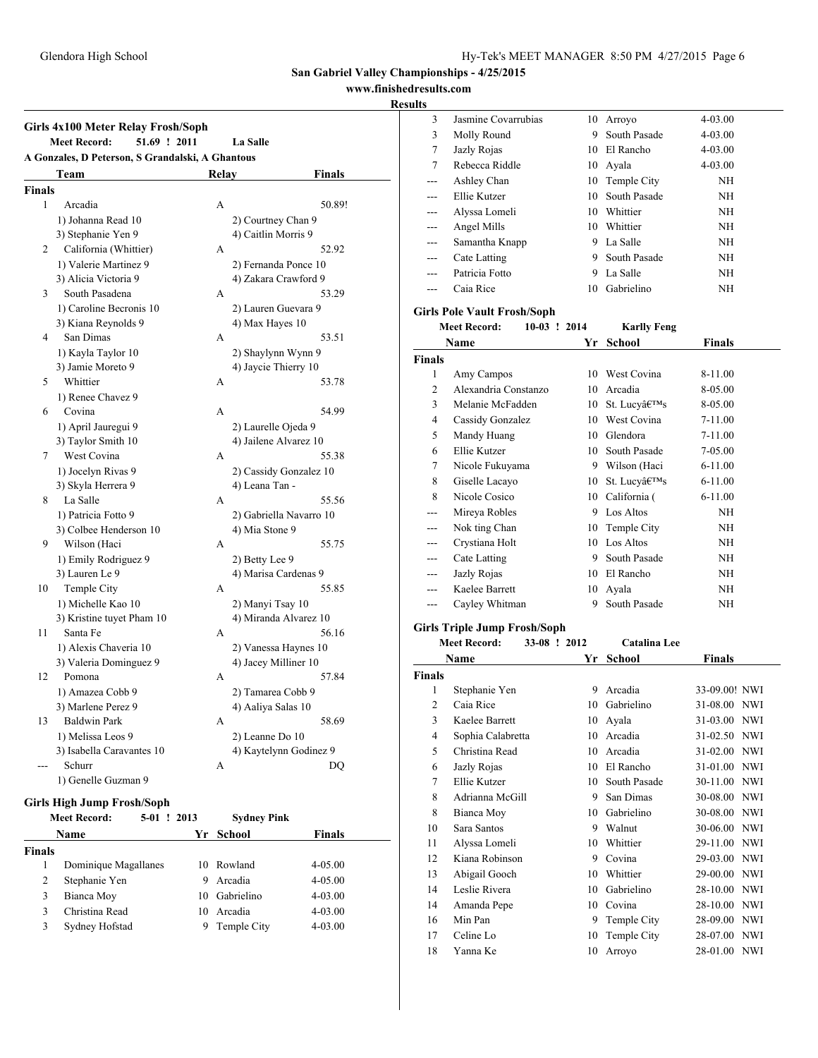# **www.finishedresults.com**

### **Results**

|               | 51.69 ! 2011<br><b>Meet Record:</b>              |       | <b>La Salle</b>             |
|---------------|--------------------------------------------------|-------|-----------------------------|
|               | A Gonzales, D Peterson, S Grandalski, A Ghantous |       |                             |
|               | Team                                             | Relay | <b>Finals</b>               |
| <b>Finals</b> |                                                  |       |                             |
| 1             | Arcadia                                          | A     | 50.89!                      |
|               | 1) Johanna Read 10                               |       | 2) Courtney Chan 9          |
|               | 3) Stephanie Yen 9                               |       | 4) Caitlin Morris 9         |
| 2             | California (Whittier)                            | А     | 52.92                       |
|               | 1) Valerie Martinez 9                            |       | 2) Fernanda Ponce 10        |
|               | 3) Alicia Victoria 9                             |       | 4) Zakara Crawford 9        |
| 3             | South Pasadena                                   | A     | 53.29                       |
|               | 1) Caroline Becronis 10                          |       | 2) Lauren Guevara 9         |
|               | 3) Kiana Reynolds 9                              |       | 4) Max Hayes 10             |
| 4             | San Dimas                                        | А     | 53.51                       |
|               | 1) Kayla Taylor 10                               |       | 2) Shaylynn Wynn 9          |
|               | 3) Jamie Moreto 9                                |       | 4) Jaycie Thierry 10        |
| 5             | Whittier                                         | A     | 53.78                       |
|               | 1) Renee Chavez 9                                |       |                             |
| 6             | Covina                                           | A     | 54.99                       |
|               | 1) April Jauregui 9                              |       | 2) Laurelle Ojeda 9         |
|               | 3) Taylor Smith 10                               |       | 4) Jailene Alvarez 10       |
| 7             | West Covina                                      | A     | 55.38                       |
|               | 1) Jocelyn Rivas 9                               |       | 2) Cassidy Gonzalez 10      |
|               | 3) Skyla Herrera 9                               |       | 4) Leana Tan -              |
| 8             | La Salle                                         | A     | 55.56                       |
|               | 1) Patricia Fotto 9                              |       | 2) Gabriella Navarro 10     |
|               | 3) Colbee Henderson 10                           |       | 4) Mia Stone 9              |
| 9             | Wilson (Haci                                     | A     | 55.75                       |
|               | 1) Emily Rodriguez 9                             |       | 2) Betty Lee 9              |
|               | 3) Lauren Le 9                                   |       | 4) Marisa Cardenas 9        |
| 10            | Temple City                                      | A     | 55.85                       |
|               | 1) Michelle Kao 10                               |       | 2) Manyi Tsay 10            |
|               | 3) Kristine tuyet Pham 10                        |       | 4) Miranda Alvarez 10       |
| 11            | Santa Fe                                         | A     | 56.16                       |
|               | 1) Alexis Chaveria 10                            |       | 2) Vanessa Haynes 10        |
|               | 3) Valeria Dominguez 9                           |       | 4) Jacey Milliner 10        |
| 12            | Pomona                                           | A     | 57.84                       |
|               | 1) Amazea Cobb 9                                 |       | 2) Tamarea Cobb 9           |
|               |                                                  |       |                             |
| 13            | 3) Marlene Perez 9<br><b>Baldwin Park</b>        |       | 4) Aaliya Salas 10<br>58.69 |
|               | 1) Melissa Leos 9                                | А     | 2) Leanne Do 10             |
|               | 3) Isabella Caravantes 10                        |       |                             |
|               |                                                  |       | 4) Kaytelynn Godinez 9      |
| ---           | Schurr<br>1) Genelle Guzman 9                    | А     | DQ                          |
|               |                                                  |       |                             |

|               | <b>Meet Record:</b><br>$5-01$ ! 2013 |    | <b>Sydney Pink</b> |               |
|---------------|--------------------------------------|----|--------------------|---------------|
|               | <b>Name</b>                          |    | Yr School          | <b>Finals</b> |
| <b>Finals</b> |                                      |    |                    |               |
| 1             | Dominique Magallanes                 | 10 | Rowland            | $4 - 05.00$   |
| 2             | Stephanie Yen                        | 9  | Arcadia            | $4 - 05.00$   |
| 3             | Bianca Moy                           | 10 | Gabrielino         | $4 - 03.00$   |
| 3             | Christina Read                       | 10 | Arcadia            | $4 - 03.00$   |
| 3             | Sydney Hofstad                       | 9  | Temple City        | $4 - 03.00$   |

| IJ. |                     |     |                |             |  |
|-----|---------------------|-----|----------------|-------------|--|
| 3   | Jasmine Covarrubias | 10  | Arroyo         | $4 - 03.00$ |  |
| 3   | Molly Round         | 9   | South Pasade   | $4 - 03.00$ |  |
| 7   | Jazly Rojas         |     | 10 El Rancho   | $4 - 03.00$ |  |
| 7   | Rebecca Riddle      |     | 10 Ayala       | $4 - 03.00$ |  |
| --- | Ashley Chan         |     | 10 Temple City | ΝH          |  |
| --- | Ellie Kutzer        | 10. | South Pasade   | NH          |  |
| --- | Alyssa Lomeli       | 10  | Whittier       | NH          |  |
| --- | Angel Mills         | 10  | Whittier       | NH          |  |
| --- | Samantha Knapp      | 9   | La Salle       | NH          |  |
| --- | Cate Latting        | 9   | South Pasade   | NH          |  |
|     | Patricia Fotto      | 9   | La Salle       | NH          |  |
|     | Caia Rice           | 10. | Gabrielino     | ΝH          |  |
|     |                     |     |                |             |  |

### **Girls Pole Vault Frosh/Soph**

|        | <b>Meet Record:</b>  | $10-03$ ! 2014 | <b>Karlly Feng</b> |             |
|--------|----------------------|----------------|--------------------|-------------|
|        | Name                 | Yr             | <b>School</b>      | Finals      |
| Finals |                      |                |                    |             |
| 1      | Amy Campos           | 10             | West Covina        | 8-11.00     |
| 2      | Alexandria Constanzo | 10             | Arcadia            | 8-05.00     |
| 3      | Melanie McFadden     | 10             | St. Lucy's         | 8-05.00     |
| 4      | Cassidy Gonzalez     | 10             | West Covina        | $7-11.00$   |
| 5      | Mandy Huang          | 10             | Glendora           | 7-11.00     |
| 6      | Ellie Kutzer         | 10             | South Pasade       | 7-05.00     |
| 7      | Nicole Fukuyama      | 9              | Wilson (Haci       | $6 - 11.00$ |
| 8      | Giselle Lacayo       | 10             | St. Lucy's         | $6 - 11.00$ |
| 8      | Nicole Cosico        | 10             | California (       | $6 - 11.00$ |
| ---    | Mireya Robles        | 9              | Los Altos          | NH          |
| ---    | Nok ting Chan        | 10             | Temple City        | NH          |
| ---    | Crystiana Holt       | 10             | Los Altos          | NH          |
| ---    | Cate Latting         | 9              | South Pasade       | NH          |
|        | Jazly Rojas          | 10             | El Rancho          | NH          |
|        | Kaelee Barrett       | 10             | Ayala              | NH          |
| ---    | Cayley Whitman       | 9              | South Pasade       | NH          |

# **Girls Triple Jump Frosh/Soph**

#### **Meet Record: 33-08 ! 2012 Catalina Lee**

|               | Name              | Yr | School       | <b>Finals</b>          |
|---------------|-------------------|----|--------------|------------------------|
| <b>Finals</b> |                   |    |              |                        |
| 1             | Stephanie Yen     | 9  | Arcadia      | 33-09.00! NWI          |
| 2             | Caia Rice         | 10 | Gabrielino   | 31-08.00 NWI           |
| 3             | Kaelee Barrett    | 10 | Ayala        | 31-03.00 NWI           |
| 4             | Sophia Calabretta | 10 | Arcadia      | 31-02.50 NWI           |
| 5             | Christina Read    | 10 | Arcadia      | 31-02.00 NWI           |
| 6             | Jazly Rojas       | 10 | El Rancho    | 31-01.00 NWI           |
| 7             | Ellie Kutzer      | 10 | South Pasade | 30-11.00<br><b>NWI</b> |
| 8             | Adrianna McGill   | 9  | San Dimas    | 30-08.00<br><b>NWI</b> |
| 8             | Bianca Moy        | 10 | Gabrielino   | 30-08.00<br><b>NWI</b> |
| 10            | Sara Santos       | 9  | Walnut       | 30-06.00<br><b>NWI</b> |
| 11            | Alyssa Lomeli     | 10 | Whittier     | 29-11.00 NWI           |
| 12            | Kiana Robinson    | 9  | Covina       | 29-03.00 NWI           |
| 13            | Abigail Gooch     | 10 | Whittier     | 29-00.00<br><b>NWI</b> |
| 14            | Leslie Rivera     | 10 | Gabrielino   | 28-10.00<br><b>NWI</b> |
| 14            | Amanda Pepe       | 10 | Covina       | 28-10.00<br><b>NWI</b> |
| 16            | Min Pan           | 9  | Temple City  | 28-09.00<br><b>NWI</b> |
| 17            | Celine Lo         | 10 | Temple City  | 28-07.00<br><b>NWI</b> |
| 18            | Yanna Ke          | 10 | Arroyo       | 28-01.00 NWI           |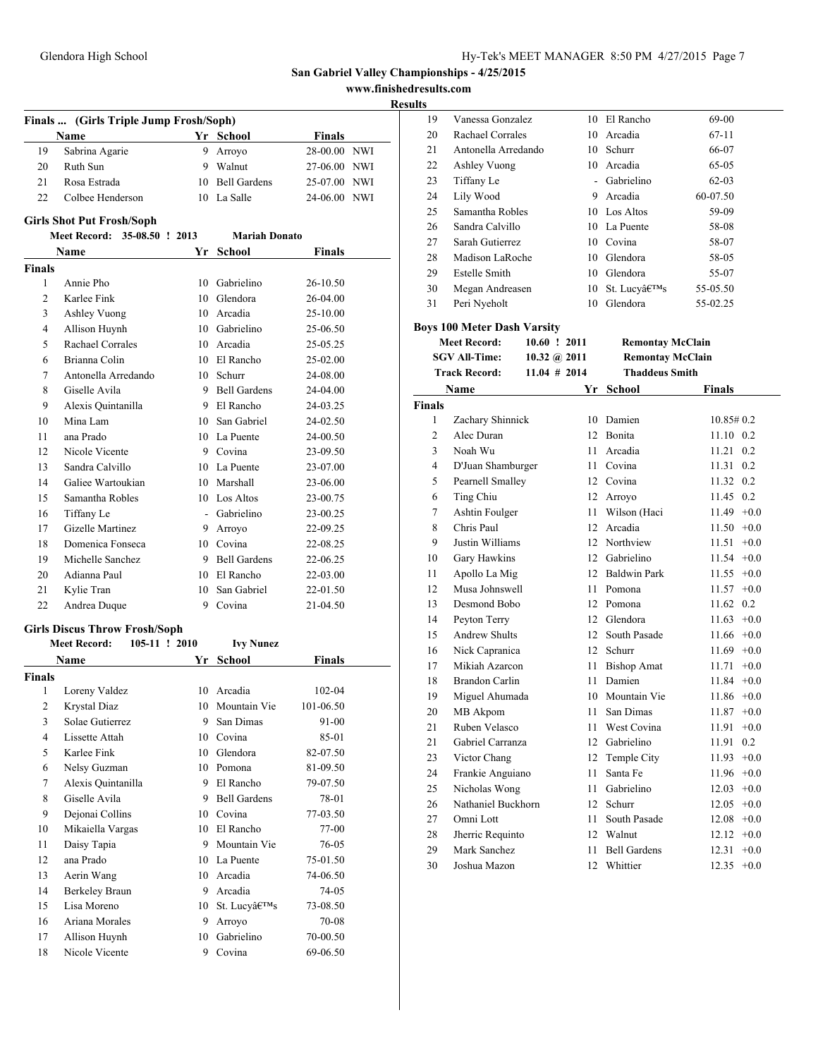**www.finishedresults.com**

|               | Finals  (Girls Triple Jump Frosh/Soph) |    |                     |               |  |
|---------------|----------------------------------------|----|---------------------|---------------|--|
|               | Name                                   |    | Yr School           | Finals        |  |
| 19            | Sabrina Agarie                         |    | 9 Arroyo            | 28-00.00 NWI  |  |
| 20            | Ruth Sun                               |    | 9 Walnut            | 27-06.00 NWI  |  |
| 21            | Rosa Estrada                           |    | 10 Bell Gardens     | 25-07.00 NWI  |  |
| 22            | Colbee Henderson                       |    | 10 La Salle         | 24-06.00 NWI  |  |
|               | <b>Girls Shot Put Frosh/Soph</b>       |    |                     |               |  |
|               | Meet Record: 35-08.50 ! 2013           |    | Mariah Donato       |               |  |
|               | Name                                   |    | Yr School           | Finals        |  |
| <b>Finals</b> |                                        |    |                     |               |  |
| 1             | Annie Pho                              |    | 10 Gabrielino       | 26-10.50      |  |
| 2             | Karlee Fink                            |    | 10 Glendora         | 26-04.00      |  |
| 3             | Ashley Vuong                           |    | 10 Arcadia          | 25-10.00      |  |
| 4             | Allison Huynh                          |    | 10 Gabrielino       | 25-06.50      |  |
| 5             | Rachael Corrales                       |    | 10 Arcadia          | 25-05.25      |  |
| 6             | Brianna Colin                          |    | 10 El Rancho        | 25-02.00      |  |
| 7             | Antonella Arredando                    |    | 10 Schurr           | 24-08.00      |  |
| 8             | Giselle Avila                          | 9  | <b>Bell Gardens</b> | 24-04.00      |  |
| 9             | Alexis Quintanilla                     |    | 9 El Rancho         | 24-03.25      |  |
| 10            | Mina Lam                               | 10 | San Gabriel         | 24-02.50      |  |
| 11            | ana Prado                              |    | 10 La Puente        | 24-00.50      |  |
| 12            | Nicole Vicente                         |    | 9 Covina            | 23-09.50      |  |
| 13            | Sandra Calvillo                        |    | 10 La Puente        | 23-07.00      |  |
| 14            | Galiee Wartoukian                      |    | 10 Marshall         | 23-06.00      |  |
| 15            | Samantha Robles                        |    | 10 Los Altos        | 23-00.75      |  |
| 16            | Tiffany Le                             |    | - Gabrielino        | 23-00.25      |  |
| 17            | Gizelle Martinez                       |    | 9 Arroyo            | 22-09.25      |  |
| 18            | Domenica Fonseca                       |    | 10 Covina           | 22-08.25      |  |
| 19            | Michelle Sanchez                       |    | 9 Bell Gardens      | 22-06.25      |  |
| 20            | Adianna Paul                           |    | 10 El Rancho        | 22-03.00      |  |
| 21            | Kylie Tran                             | 10 | San Gabriel         | 22-01.50      |  |
| 22            | Andrea Duque                           |    | 9 Covina            | 21-04.50      |  |
|               | <b>Girls Discus Throw Frosh/Soph</b>   |    |                     |               |  |
|               | <b>Meet Record:</b><br>105-11 ! 2010   |    | <b>Ivy Nunez</b>    |               |  |
|               | Name                                   |    | Yr School           | <b>Finals</b> |  |
| <b>Finals</b> |                                        |    |                     |               |  |
| 1             | Loreny Valdez                          | 10 | Arcadia             | 102-04        |  |
| 2             | Krystal Diaz                           |    | 10 Mountain Vie     | 101-06.50     |  |
| 3             | Solae Gutierrez                        | 9  | San Dimas           | 91-00         |  |
| 4             | Lissette Attah                         |    | 10 Covina           | 85-01         |  |
| 5             | Karlee Fink                            | 10 | Glendora            | 82-07.50      |  |
| 6             | Nelsy Guzman                           | 10 | Pomona              | 81-09.50      |  |
| 7             | Alexis Quintanilla                     | 9  | El Rancho           | 79-07.50      |  |
| 8             | Giselle Avila                          | 9  | <b>Bell Gardens</b> | 78-01         |  |
| 9             | Dejonai Collins                        | 10 | Covina              | 77-03.50      |  |
| 10            | Mikaiella Vargas                       | 10 | El Rancho           | 77-00         |  |
| 11            | Daisy Tapia                            | 9  | Mountain Vie        | 76-05         |  |
| 12            | ana Prado                              |    | 10 La Puente        | 75-01.50      |  |
| 13            | Aerin Wang                             | 10 | Arcadia             | 74-06.50      |  |
| 14            | Berkeley Braun                         |    | 9 Arcadia           | 74-05         |  |
| 15            | Lisa Moreno                            | 10 | St. Lucy's          | 73-08.50      |  |
| 16            | Ariana Morales                         | 9  | Arroyo              | 70-08         |  |
| 17            | Allison Huynh                          | 10 | Gabrielino          | 70-00.50      |  |
| 18            | Nicole Vicente                         | 9  | Covina              | 69-06.50      |  |

| 19            | Vanessa Gonzalez                   |                |      | 10 El Rancho            | 69-00           |
|---------------|------------------------------------|----------------|------|-------------------------|-----------------|
| 20            | Rachael Corrales                   |                |      | 10 Arcadia              | $67 - 11$       |
| 21            | Antonella Arredando                |                |      | 10 Schurr               | 66-07           |
| 22            | Ashley Vuong                       |                |      | 10 Arcadia              | 65-05           |
| 23            | Tiffany Le                         |                |      | - Gabrielino            | $62-03$         |
| 24            | Lily Wood                          |                |      | 9 Arcadia               | 60-07.50        |
| 25            | Samantha Robles                    |                |      | 10 Los Altos            | 59-09           |
| 26            | Sandra Calvillo                    |                |      | 10 La Puente            | 58-08           |
| 27            | Sarah Gutierrez                    |                |      | 10 Covina               | 58-07           |
| 28            | Madison LaRoche                    |                |      | 10 Glendora             | 58-05           |
| 29            | <b>Estelle Smith</b>               |                |      | 10 Glendora             | 55-07           |
| 30            | Megan Andreasen                    |                |      | 10 St. Lucy's           | 55-05.50        |
| 31            | Peri Nyeholt                       |                |      | 10 Glendora             | 55-02.25        |
|               | <b>Boys 100 Meter Dash Varsity</b> |                |      |                         |                 |
|               | <b>Meet Record:</b>                | 10.60 ! 2011   |      | <b>Remontay McClain</b> |                 |
|               | <b>SGV All-Time:</b>               | 10.32 @ $2011$ |      | <b>Remontay McClain</b> |                 |
|               | <b>Track Record:</b>               | $11.04$ # 2014 |      | <b>Thaddeus Smith</b>   |                 |
|               | Name                               |                |      | Yr School               | <b>Finals</b>   |
| <b>Finals</b> |                                    |                |      |                         |                 |
| 1             | Zachary Shinnick                   |                |      | 10 Damien               | $10.85\#0.2$    |
| 2             | Alec Duran                         |                |      | 12 Bonita               | 11.10 0.2       |
| 3             | Noah Wu                            |                | 11 - | Arcadia                 | 11.21<br>0.2    |
| 4             | D'Juan Shamburger                  |                |      | 11 Covina               | 11.31 0.2       |
| 5             | Pearnell Smalley                   |                |      | 12 Covina               | 11.32 0.2       |
| 6             | Ting Chiu                          |                |      | 12 Arroyo               | 11.45 0.2       |
| 7             | Ashtin Foulger                     |                |      | 11 Wilson (Haci         | $11.49 +0.0$    |
| 8             | Chris Paul                         |                |      | 12 Arcadia              | $11.50 +0.0$    |
| 9             | Justin Williams                    |                |      | 12 Northview            | $11.51 +0.0$    |
| 10            | Gary Hawkins                       |                |      | 12 Gabrielino           | $11.54 +0.0$    |
| 11            | Apollo La Mig                      |                |      | 12 Baldwin Park         | $11.55 +0.0$    |
| 12            | Musa Johnswell                     |                | 11 - | Pomona                  | $11.57 +0.0$    |
| 13            | Desmond Bobo                       |                |      | 12 Pomona               | 0.2<br>11.62    |
| 14            | Peyton Terry                       |                |      | 12 Glendora             | $11.63 +0.0$    |
| 15            | <b>Andrew Shults</b>               |                |      | 12 South Pasade         | $11.66 + 0.0$   |
| 16            | Nick Capranica                     |                |      | 12 Schurr               | $11.69 +0.0$    |
| 17            | Mikiah Azarcon                     |                |      | 11 Bishop Amat          | $11.71 +0.0$    |
| 18            | Brandon Carlin                     |                | 11   | Damien                  | $11.84 +0.0$    |
| 19            | Miguel Ahumada                     |                |      | 10 Mountain Vie         | $11.86 + 0.0$   |
| 20            | MB Akpom                           |                |      | 11 San Dimas            | $11.87 +0.0$    |
| 21            | Ruben Velasco                      |                | 11   | West Covina             | $11.91 +0.0$    |
| 21            | Gabriel Carranza                   |                | 12   | Gabrielino              | 11.91<br>0.2    |
| 23            | Victor Chang                       |                | 12   | Temple City             | $+0.0$<br>11.93 |
| 24            | Frankie Anguiano                   |                | 11   | Santa Fe                | 11.96<br>$+0.0$ |
| 25            | Nicholas Wong                      |                | 11   | Gabrielino              | 12.03<br>$+0.0$ |
| 26            | Nathaniel Buckhorn                 |                | 12   | Schurr                  | 12.05<br>$+0.0$ |
| 27            | Omni Lott                          |                | 11   | South Pasade            | 12.08<br>$+0.0$ |
| 28            | Jherric Requinto                   |                |      | 12 Walnut               | 12.12<br>$+0.0$ |
| 29            | Mark Sanchez                       |                | 11   | <b>Bell Gardens</b>     | 12.31<br>$+0.0$ |
| 30            | Joshua Mazon                       |                | 12   | Whittier                | 12.35<br>$+0.0$ |
|               |                                    |                |      |                         |                 |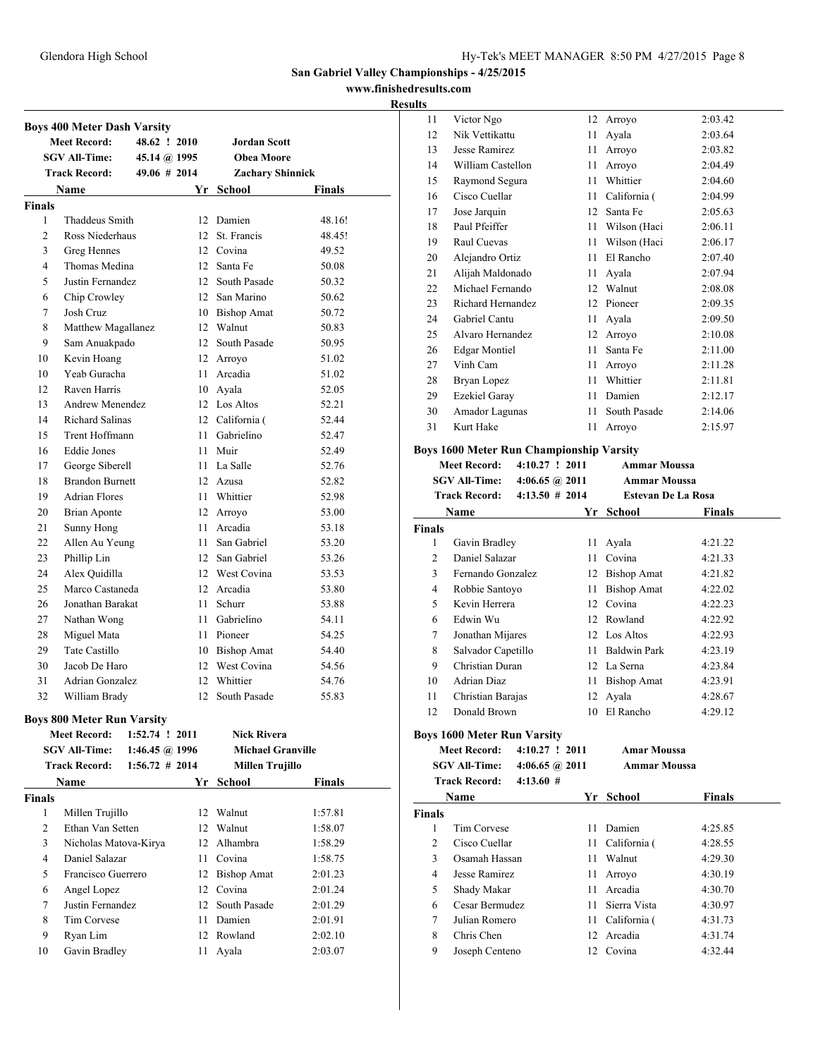### **www.finishedresults.com**

### **Results**

|                | <b>Boys 400 Meter Dash Varsity</b> |                   |     |                          |               |
|----------------|------------------------------------|-------------------|-----|--------------------------|---------------|
|                | <b>Meet Record:</b>                | 48.62 ! 2010      |     | <b>Jordan Scott</b>      |               |
|                | <b>SGV All-Time:</b>               | 45.14 @ 1995      |     | <b>Obea Moore</b>        |               |
|                | <b>Track Record:</b>               | 49.06 # 2014      |     | Zachary Shinnick         |               |
|                | Name                               |                   |     | Yr School                | Finals        |
| <b>Finals</b>  |                                    |                   |     |                          |               |
| 1              | Thaddeus Smith                     |                   |     | 12 Damien                | 48.16!        |
| 2              | Ross Niederhaus                    |                   |     | 12 St. Francis           | 48.45!        |
| 3              | Greg Hennes                        |                   |     | 12 Covina                | 49.52         |
| 4              | Thomas Medina                      |                   |     | 12 Santa Fe              | 50.08         |
| 5              | Justin Fernandez                   |                   |     | 12 South Pasade          | 50.32         |
| 6              | Chip Crowley                       |                   |     | 12 San Marino            | 50.62         |
| 7              | Josh Cruz                          |                   |     | 10 Bishop Amat           | 50.72         |
| 8              | Matthew Magallanez                 |                   |     | 12 Walnut                | 50.83         |
| 9              | Sam Anuakpado                      |                   |     | 12 South Pasade          | 50.95         |
| 10             | Kevin Hoang                        |                   |     | 12 Arroyo                | 51.02         |
| 10             | Yeab Guracha                       |                   |     | 11 Arcadia               | 51.02         |
| 12             | Raven Harris                       |                   |     | 10 Ayala                 | 52.05         |
| 13             | <b>Andrew Menendez</b>             |                   |     | 12 Los Altos             | 52.21         |
| 14             | <b>Richard Salinas</b>             |                   |     | 12 California (          | 52.44         |
| 15             | Trent Hoffmann                     |                   |     | 11 Gabrielino            | 52.47         |
| 16             | <b>Eddie Jones</b>                 |                   |     | 11 Muir                  | 52.49         |
| 17             | George Siberell                    |                   |     | 11 La Salle              | 52.76         |
| 18             | <b>Brandon Burnett</b>             |                   |     | 12 Azusa                 | 52.82         |
| 19             | <b>Adrian Flores</b>               |                   |     | 11 Whittier              | 52.98         |
| 20             | <b>Brian Aponte</b>                |                   |     | 12 Arroyo                | 53.00         |
| 21             | Sunny Hong                         |                   |     | 11 Arcadia               | 53.18         |
| 22             | Allen Au Yeung                     |                   |     | 11 San Gabriel           | 53.20         |
| 23             | Phillip Lin                        |                   |     | 12 San Gabriel           | 53.26         |
| 24             | Alex Quidilla                      |                   |     | 12 West Covina           | 53.53         |
| 25             | Marco Castaneda                    |                   |     | 12 Arcadia               | 53.80         |
| 26             | Jonathan Barakat                   |                   | 11. | <b>Schurr</b>            | 53.88         |
| 27             | Nathan Wong                        |                   |     | 11 Gabrielino            | 54.11         |
| 28             | Miguel Mata                        |                   |     | 11 Pioneer               | 54.25         |
| 29             | Tate Castillo                      |                   |     | 10 Bishop Amat           | 54.40         |
| 30             | Jacob De Haro                      |                   |     | 12 West Covina           | 54.56         |
| 31             | Adrian Gonzalez                    |                   |     | 12 Whittier              | 54.76         |
| 32             | William Brady                      |                   |     | 12 South Pasade          | 55.83         |
|                |                                    |                   |     |                          |               |
|                | <b>Boys 800 Meter Run Varsity</b>  |                   |     |                          |               |
|                | <b>Meet Record:</b>                | 1:52.74 ! 2011    |     | <b>Nick Rivera</b>       |               |
|                | <b>SGV All-Time:</b>               | 1:46.45 @ 1996    |     | <b>Michael Granville</b> |               |
|                | <b>Track Record:</b>               | $1:56.72 \# 2014$ |     | <b>Millen Trujillo</b>   |               |
|                | Name                               |                   |     | Yr School                | <b>Finals</b> |
| <b>Finals</b>  |                                    |                   |     |                          |               |
| 1              | Millen Trujillo                    |                   |     | 12 Walnut                | 1:57.81       |
| $\overline{2}$ | Ethan Van Setten                   |                   |     | 12 Walnut                | 1:58.07       |
| 3              | Nicholas Matova-Kirya              |                   |     | 12 Alhambra              | 1:58.29       |
| 4              | Daniel Salazar                     |                   |     | 11 Covina                | 1:58.75       |
| 5              | Francisco Guerrero                 |                   |     | 12 Bishop Amat           | 2:01.23       |
| 6              | Angel Lopez                        |                   |     | 12 Covina                | 2:01.24       |
| 7              | Justin Fernandez                   |                   |     | 12 South Pasade          | 2:01.29       |
| 8              | Tim Corvese                        |                   |     | 11 Damien                | 2:01.91       |
| 9              | Ryan Lim                           |                   |     | 12 Rowland               | 2:02.10       |
| 10             | Gavin Bradley                      |                   |     | 11 Ayala                 | 2:03.07       |

| ., |                      |    |              |         |
|----|----------------------|----|--------------|---------|
| 11 | Victor Ngo           | 12 | Arroyo       | 2:03.42 |
| 12 | Nik Vettikattu       | 11 | Ayala        | 2:03.64 |
| 13 | Jesse Ramirez        | 11 | Arroyo       | 2:03.82 |
| 14 | William Castellon    | 11 | Arroyo       | 2:04.49 |
| 15 | Raymond Segura       | 11 | Whittier     | 2:04.60 |
| 16 | Cisco Cuellar        | 11 | California ( | 2:04.99 |
| 17 | Jose Jarquin         | 12 | Santa Fe     | 2:05.63 |
| 18 | Paul Pfeiffer        | 11 | Wilson (Haci | 2:06.11 |
| 19 | Raul Cuevas          | 11 | Wilson (Haci | 2:06.17 |
| 20 | Alejandro Ortiz      | 11 | El Rancho    | 2:07.40 |
| 21 | Alijah Maldonado     | 11 | Ayala        | 2:07.94 |
| 22 | Michael Fernando     | 12 | Walnut       | 2:08.08 |
| 23 | Richard Hernandez    | 12 | Pioneer      | 2:09.35 |
| 24 | Gabriel Cantu        | 11 | Ayala        | 2:09.50 |
| 25 | Alvaro Hernandez     | 12 | Arroyo       | 2:10.08 |
| 26 | <b>Edgar Montiel</b> | 11 | Santa Fe     | 2:11.00 |
| 27 | Vinh Cam             | 11 | Arroyo       | 2:11.28 |
| 28 | Bryan Lopez          | 11 | Whittier     | 2:11.81 |
| 29 | <b>Ezekiel Garay</b> | 11 | Damien       | 2:12.17 |
| 30 | Amador Lagunas       | 11 | South Pasade | 2:14.06 |
| 31 | Kurt Hake            | 11 | Arroyo       | 2:15.97 |
|    |                      |    |              |         |

# **Boys 1600 Meter Run Championship Varsity**

|                | <b>Meet Record:</b>                | $4:10.27$ ! 2011         |                   | <b>Ammar Moussa</b>       |               |
|----------------|------------------------------------|--------------------------|-------------------|---------------------------|---------------|
|                | <b>SGV All-Time:</b>               | $4:06.65 \; \omega$ 2011 |                   | Ammar Moussa              |               |
|                | <b>Track Record:</b>               |                          | $4:13.50 \# 2014$ | <b>Estevan De La Rosa</b> |               |
|                | Name                               |                          | Yr                | <b>School</b>             | <b>Finals</b> |
| <b>Finals</b>  |                                    |                          |                   |                           |               |
| 1              | Gavin Bradley                      |                          | 11                | Ayala                     | 4:21.22       |
| $\overline{c}$ | Daniel Salazar                     |                          | 11                | Covina                    | 4:21.33       |
| 3              | Fernando Gonzalez                  |                          | 12                | <b>Bishop Amat</b>        | 4:21.82       |
| $\overline{4}$ | Robbie Santoyo                     |                          | 11                | <b>Bishop Amat</b>        | 4:22.02       |
| 5              | Kevin Herrera                      |                          | 12                | Covina                    | 4:22.23       |
| 6              | Edwin Wu                           |                          |                   | 12 Rowland                | 4:22.92       |
| 7              | Jonathan Mijares                   |                          | 12                | Los Altos                 | 4:22.93       |
| 8              | Salvador Capetillo                 |                          | 11                | <b>Baldwin Park</b>       | 4:23.19       |
| 9              | Christian Duran                    |                          | 12                | La Serna                  | 4:23.84       |
| 10             | <b>Adrian Diaz</b>                 |                          | 11                | <b>Bishop Amat</b>        | 4:23.91       |
| 11             | Christian Barajas                  |                          | 12                | Ayala                     | 4:28.67       |
| 12             | Donald Brown                       |                          | 10                | El Rancho                 | 4:29.12       |
|                | <b>Boys 1600 Meter Run Varsity</b> |                          |                   |                           |               |
|                | <b>Meet Record:</b>                | $4:10.27$ ! 2011         |                   | <b>Amar Moussa</b>        |               |
|                | <b>SGV All-Time:</b>               |                          | 4:06.65 $@2011$   | <b>Ammar Moussa</b>       |               |
|                | <b>Track Record:</b>               | 4:13.60#                 |                   |                           |               |
|                | Name                               |                          | Yr                | <b>School</b>             | <b>Finals</b> |
| <b>Finals</b>  |                                    |                          |                   |                           |               |
| 1              | <b>Tim Corvese</b>                 |                          | 11                | Damien                    | 4:25.85       |
| $\overline{c}$ | Cisco Cuellar                      |                          | 11                | California (              | 4:28.55       |
| 3              | Osamah Hassan                      |                          | 11                | Walnut                    | 4:29.30       |
| $\overline{4}$ | Jesse Ramirez                      |                          | 11                | Arroyo                    | 4:30.19       |
| 5              | Shady Makar                        |                          | 11                | Arcadia                   | 4:30.70       |
| 6              | Cesar Bermudez                     |                          | 11                | Sierra Vista              | 4:30.97       |
| 7              | Julian Romero                      |                          | 11                | California (              | 4:31.73       |
| 8              | Chris Chen                         |                          | 12                | Arcadia                   | 4:31.74       |
| 9              | Joseph Centeno                     |                          |                   | 12 Covina                 | 4:32.44       |
|                |                                    |                          |                   |                           |               |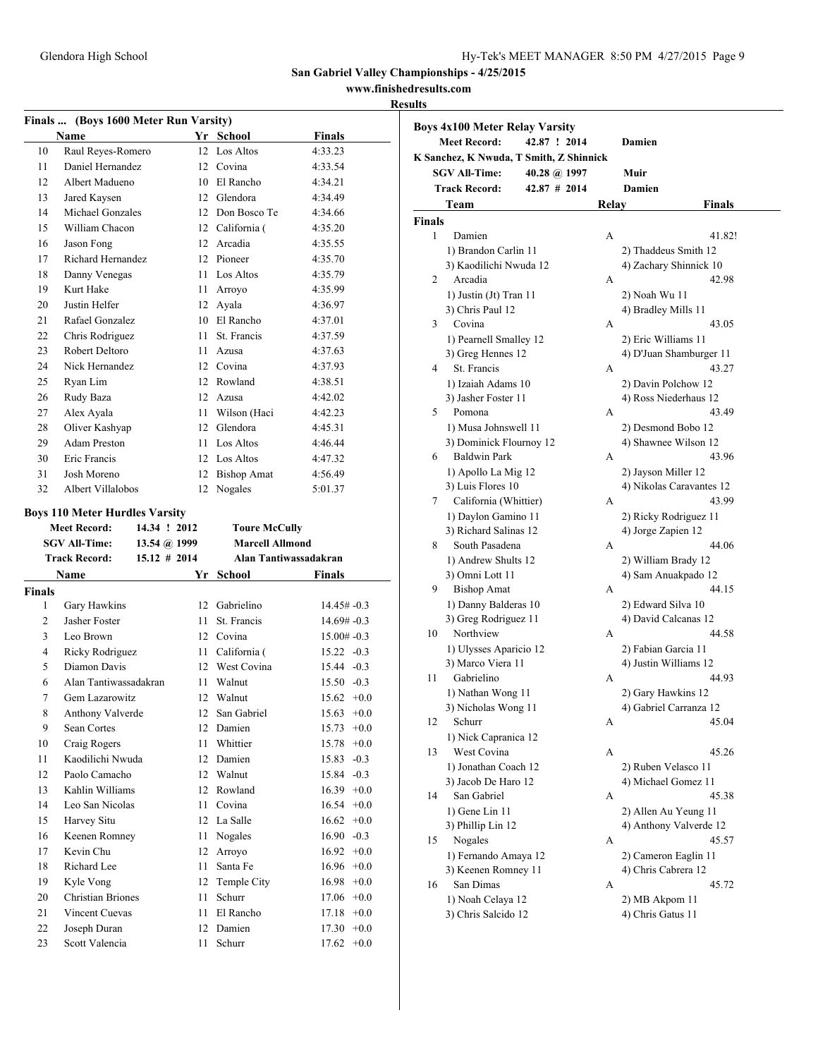### **www.finishedresults.com**

|                | Finals  (Boys 1600 Meter Run Varsity)   |     |                        |                       |
|----------------|-----------------------------------------|-----|------------------------|-----------------------|
|                | <b>Name</b>                             |     | Yr School              | <b>Finals</b>         |
| 10             | Raul Reyes-Romero                       |     | 12 Los Altos           | 4:33.23               |
| 11             | Daniel Hernandez                        |     | 12 Covina              | 4:33.54               |
| 12             | Albert Madueno                          |     | 10 El Rancho           | 4:34.21               |
| 13             | Jared Kaysen                            |     | 12 Glendora            | 4:34.49               |
| 14             | Michael Gonzales                        |     | 12 Don Bosco Te        | 4:34.66               |
| 15             | William Chacon                          |     | 12 California (        | 4:35.20               |
| 16             | Jason Fong                              |     | 12 Arcadia             | 4:35.55               |
| 17             | Richard Hernandez                       |     | 12 Pioneer             | 4:35.70               |
| 18             | Danny Venegas                           |     | 11 Los Altos           | 4:35.79               |
| 19             | Kurt Hake                               |     | 11 Arroyo              | 4:35.99               |
| 20             | <b>Justin Helfer</b>                    |     | 12 Ayala               | 4:36.97               |
| 21             | Rafael Gonzalez                         |     | 10 El Rancho           | 4:37.01               |
| 22             | Chris Rodriguez                         | 11. | St. Francis            | 4:37.59               |
| 23             | Robert Deltoro                          | 11. | Azusa                  | 4:37.63               |
| 24             | Nick Hernandez                          |     | 12 Covina              | 4:37.93               |
| 25             | Ryan Lim                                |     | 12 Rowland             | 4:38.51               |
| 26             | Rudy Baza                               |     | 12 Azusa               | 4:42.02               |
| 27             | Alex Ayala                              |     | 11 Wilson (Haci        | 4:42.23               |
| 28             | Oliver Kashyap                          |     | 12 Glendora            | 4:45.31               |
| 29             | Adam Preston                            |     | 11 Los Altos           | 4:46.44               |
| 30             | Eric Francis                            |     | 12 Los Altos           | 4:47.32               |
| 31             | Josh Moreno                             |     | 12 Bishop Amat         | 4:56.49               |
| 32             | Albert Villalobos                       |     | 12 Nogales             | 5:01.37               |
|                | <b>Boys 110 Meter Hurdles Varsity</b>   |     |                        |                       |
|                | 14.34 ! 2012<br><b>Meet Record:</b>     |     | <b>Toure McCully</b>   |                       |
|                | <b>SGV All-Time:</b><br>13.54 @ 1999    |     | <b>Marcell Allmond</b> |                       |
|                | <b>Track Record:</b><br>$15.12 \# 2014$ |     |                        | Alan Tantiwassadakran |
|                | Name                                    |     | Yr School              | Finals                |
| <b>Finals</b>  |                                         |     |                        |                       |
| 1              | Gary Hawkins                            |     | 12 Gabrielino          | $14.45# -0.3$         |
| $\overline{c}$ | Jasher Foster                           | 11. | St. Francis            | $14.69# -0.3$         |
| 3              | Leo Brown                               |     | 12 Covina              | $15.00# -0.3$         |
| 4              | Ricky Rodriguez                         | 11  | California (           | $15.22 - 0.3$         |
| 5              | Diamon Davis                            |     | 12 West Covina         | 15.44 -0.3            |
| 6              | Alan Tantiwassadakran                   | 11- | Walnut                 | $15.50 -0.3$          |
| 7              | Gem Lazarowitz                          |     | 12 Walnut              | $15.62 + 0.0$         |
| 8              | Anthony Valverde                        | 12  | San Gabriel            | 15.63<br>$+0.0$       |
| 9              | Sean Cortes                             | 12  | Damien                 | 15.73<br>$+0.0$       |
| 10             | Craig Rogers                            | 11  | Whittier               | $+0.0$<br>15.78       |
| 11             | Kaodilichi Nwuda                        | 12  | Damien                 | 15.83<br>$-0.3$       |
| 12             | Paolo Camacho                           | 12  | Walnut                 | 15.84<br>$-0.3$       |
| 13             | Kahlin Williams                         | 12  | Rowland                | $16.39 + 0.0$         |
| 14             | Leo San Nicolas                         | 11  | Covina                 | $16.54 +0.0$          |
| 15             | Harvey Situ                             |     | 12 La Salle            | 16.62<br>$+0.0$       |
| 16             | Keenen Romney                           | 11  | Nogales                | $16.90 -0.3$          |
| 17             | Kevin Chu                               | 12  | Arroyo                 | 16.92<br>$+0.0$       |
| 18             | Richard Lee                             | 11  | Santa Fe               | 16.96<br>$+0.0$       |
| 19             | Kyle Vong                               | 12  | Temple City            | 16.98<br>$+0.0$       |
| 20             | <b>Christian Briones</b>                | 11  | Schurr                 | $+0.0$<br>17.06       |
| 21             | Vincent Cuevas                          | 11  | El Rancho              | 17.18<br>$+0.0$       |
| 22             | Joseph Duran                            | 12  | Damien                 | 17.30<br>$+0.0$       |
| 23             | Scott Valencia                          |     | 11 Schurr              | $17.62 +0.0$          |

|               | <b>Boys 4x100 Meter Relay Varsity</b>   |                |       |                          |               |
|---------------|-----------------------------------------|----------------|-------|--------------------------|---------------|
|               | <b>Meet Record:</b>                     | 42.87 ! 2014   |       | Damien                   |               |
|               | K Sanchez, K Nwuda, T Smith, Z Shinnick |                |       |                          |               |
|               | <b>SGV All-Time:</b>                    | 40.28 @ 1997   |       | Muir                     |               |
|               | <b>Track Record:</b>                    | $42.87$ # 2014 |       | Damien                   |               |
|               | Team                                    |                | Relay |                          | <b>Finals</b> |
| <b>Finals</b> |                                         |                |       |                          |               |
| 1             | Damien                                  |                | А     |                          | 41.82!        |
|               | 1) Brandon Carlin 11                    |                |       | 2) Thaddeus Smith 12     |               |
|               | 3) Kaodilichi Nwuda 12                  |                |       | 4) Zachary Shinnick 10   |               |
| 2             | Arcadia                                 |                | A     |                          | 42.98         |
|               | 1) Justin (Jt) Tran 11                  |                |       | 2) Noah Wu 11            |               |
|               | 3) Chris Paul 12                        |                |       | 4) Bradley Mills 11      |               |
| 3             | Covina                                  |                | A     |                          | 43.05         |
|               | 1) Pearnell Smalley 12                  |                |       | 2) Eric Williams 11      |               |
|               | 3) Greg Hennes 12                       |                |       | 4) D'Juan Shamburger 11  |               |
| 4             | St. Francis                             |                | A     |                          | 43.27         |
|               | 1) Izaiah Adams 10                      |                |       | 2) Davin Polchow 12      |               |
|               | 3) Jasher Foster 11                     |                |       | 4) Ross Niederhaus 12    |               |
| 5             | Pomona                                  |                | А     |                          | 43.49         |
|               | 1) Musa Johnswell 11                    |                |       | 2) Desmond Bobo 12       |               |
|               | 3) Dominick Flournoy 12                 |                |       | 4) Shawnee Wilson 12     |               |
| 6             | <b>Baldwin Park</b>                     |                | A     |                          | 43.96         |
|               | 1) Apollo La Mig 12                     |                |       | 2) Jayson Miller 12      |               |
|               | 3) Luis Flores 10                       |                |       | 4) Nikolas Caravantes 12 |               |
| 7             | California (Whittier)                   |                | A     |                          | 43.99         |
|               | 1) Daylon Gamino 11                     |                |       | 2) Ricky Rodriguez 11    |               |
|               | 3) Richard Salinas 12                   |                |       | 4) Jorge Zapien 12       |               |
| 8             | South Pasadena                          |                | A     |                          | 44.06         |
|               | 1) Andrew Shults 12                     |                |       | 2) William Brady 12      |               |
|               | 3) Omni Lott 11                         |                |       | 4) Sam Anuakpado 12      |               |
| 9             | <b>Bishop Amat</b>                      |                | А     |                          | 44.15         |
|               | 1) Danny Balderas 10                    |                |       | 2) Edward Silva 10       |               |
|               | 3) Greg Rodriguez 11                    |                |       | 4) David Calcanas 12     |               |
| 10            | Northview                               |                | A     |                          | 44.58         |
|               | 1) Ulysses Aparicio 12                  |                |       | 2) Fabian Garcia 11      |               |
|               | 3) Marco Viera 11                       |                |       | 4) Justin Williams 12    |               |
| 11            | Gabrielino                              |                | А     |                          | 44.93         |
|               | 1) Nathan Wong 11                       |                |       | 2) Gary Hawkins 12       |               |
|               | 3) Nicholas Wong 11                     |                |       | 4) Gabriel Carranza 12   |               |
| 12            | Schurr                                  |                | А     |                          | 45.04         |
|               | 1) Nick Capranica 12                    |                |       |                          |               |
| 13            | West Covina                             |                | А     |                          | 45.26         |
|               | 1) Jonathan Coach 12                    |                |       | 2) Ruben Velasco 11      |               |
|               | 3) Jacob De Haro 12                     |                |       | 4) Michael Gomez 11      |               |
| 14            | San Gabriel                             |                | A     |                          | 45.38         |
|               | 1) Gene Lin 11                          |                |       | 2) Allen Au Yeung 11     |               |
|               | 3) Phillip Lin 12                       |                |       | 4) Anthony Valverde 12   |               |
| 15            | Nogales                                 |                | A     |                          | 45.57         |
|               | 1) Fernando Amaya 12                    |                |       | 2) Cameron Eaglin 11     |               |
|               | 3) Keenen Romney 11                     |                |       | 4) Chris Cabrera 12      |               |
| 16            | San Dimas                               |                | A     |                          | 45.72         |
|               | 1) Noah Celaya 12                       |                |       | 2) MB Akpom 11           |               |
|               | 3) Chris Salcido 12                     |                |       | 4) Chris Gatus 11        |               |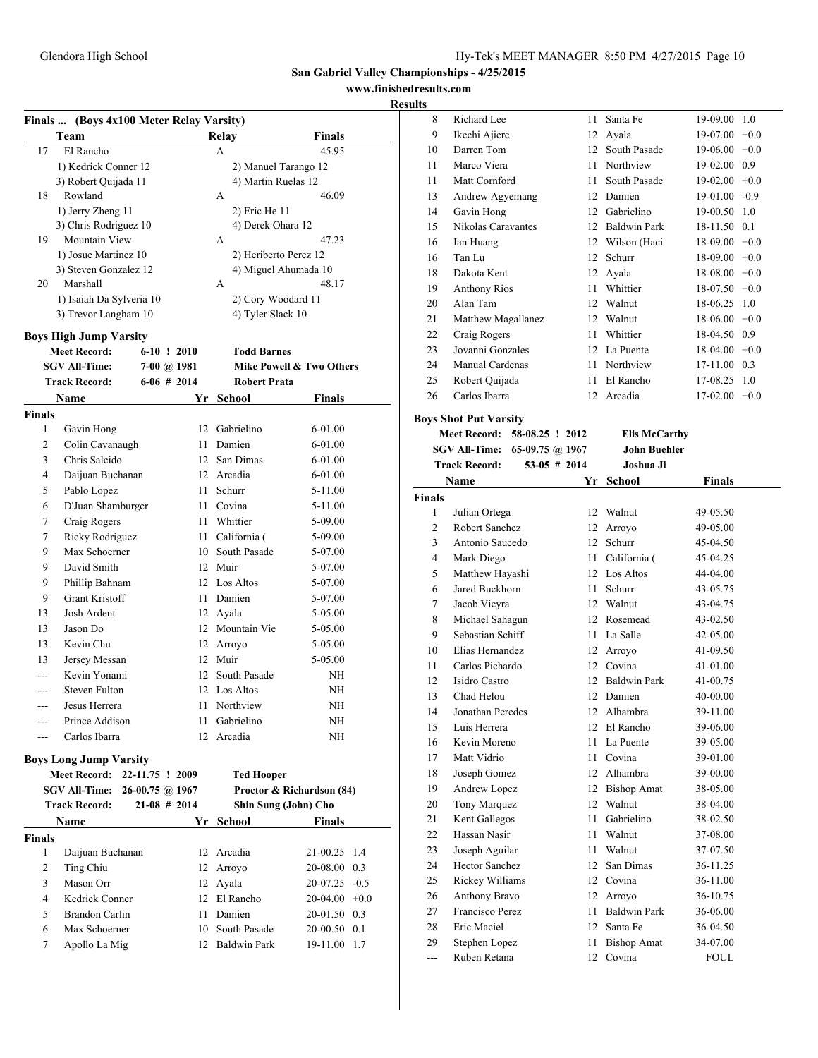# **www.finishedresults.com**

### **Results**

|               | Finals  (Boys 4x100 Meter Relay Varsity)             |                 |    |                                    |                              |
|---------------|------------------------------------------------------|-----------------|----|------------------------------------|------------------------------|
|               | Team                                                 |                 |    | Relay                              | Finals                       |
| 17            | El Rancho                                            |                 |    | A                                  | 45.95                        |
|               | 1) Kedrick Conner 12                                 |                 |    |                                    | 2) Manuel Tarango 12         |
|               | 3) Robert Quijada 11                                 |                 |    | 4) Martin Ruelas 12                |                              |
| 18            | Rowland                                              |                 |    | А                                  | 46.09                        |
|               | 1) Jerry Zheng 11                                    |                 |    | 2) Eric He 11                      |                              |
|               | 3) Chris Rodriguez 10                                |                 |    | 4) Derek Ohara 12                  |                              |
| 19            | Mountain View                                        |                 |    | A                                  | 47.23                        |
|               | 1) Josue Martinez 10                                 |                 |    |                                    | 2) Heriberto Perez 12        |
|               | 3) Steven Gonzalez 12                                |                 |    |                                    | 4) Miguel Ahumada 10         |
| 20            | Marshall                                             |                 |    | А                                  | 48.17                        |
|               | 1) Isaiah Da Sylveria 10                             |                 |    | 2) Cory Woodard 11                 |                              |
|               | 3) Trevor Langham 10                                 |                 |    | 4) Tyler Slack 10                  |                              |
|               | <b>Boys High Jump Varsity</b>                        |                 |    |                                    |                              |
|               | <b>Meet Record:</b>                                  | $6-10$ ! 2010   |    | <b>Todd Barnes</b>                 |                              |
|               | <b>SGV All-Time:</b>                                 | 7-00 @ 1981     |    |                                    | Mike Powell & Two Others     |
|               | <b>Track Record:</b>                                 | $6-06$ # 2014   |    | <b>Robert Prata</b>                |                              |
|               | Name                                                 |                 | Yr | School                             | Finals                       |
| <b>Finals</b> |                                                      |                 |    |                                    |                              |
| 1             | Gavin Hong                                           |                 |    | 12 Gabrielino                      | 6-01.00                      |
| 2             | Colin Cavanaugh                                      |                 |    | 11 Damien                          | 6-01.00                      |
| 3             | Chris Salcido                                        |                 |    | 12 San Dimas                       | 6-01.00                      |
| 4             | Daijuan Buchanan                                     |                 |    | 12 Arcadia                         | 6-01.00                      |
| 5             | Pablo Lopez                                          |                 |    | 11 Schurr                          | 5-11.00                      |
| 6             | D'Juan Shamburger                                    |                 |    | 11 Covina                          | $5 - 11.00$                  |
| 7             | Craig Rogers                                         |                 |    | 11 Whittier                        | 5-09.00                      |
| 7             | Ricky Rodriguez                                      |                 |    | 11 California (                    | $5-09.00$                    |
| 9             | Max Schoerner                                        |                 |    | 10 South Pasade                    | 5-07.00                      |
| 9             | David Smith                                          |                 |    | 12 Muir                            | 5-07.00                      |
| 9             | Phillip Bahnam                                       |                 |    | 12 Los Altos                       | 5-07.00                      |
| 9             | <b>Grant Kristoff</b>                                |                 |    | 11 Damien                          | 5-07.00                      |
| 13            | Josh Ardent                                          |                 |    | 12 Ayala                           | 5-05.00                      |
| 13            | Jason Do                                             |                 |    | 12 Mountain Vie                    | 5-05.00                      |
| 13            | Kevin Chu                                            |                 |    | 12 Arroyo                          | 5-05.00                      |
| 13            | Jersey Messan                                        |                 |    | 12 Muir                            | 5-05.00                      |
|               | Kevin Yonami                                         |                 |    | 12 South Pasade                    | NH                           |
| ---           | Steven Fulton                                        |                 |    | 12 Los Altos                       | NΗ                           |
| ---           | Jesus Herrera                                        |                 | 11 | Northview                          | NΗ                           |
|               | Prince Addison                                       |                 |    | 11 Gabrielino                      | NΗ                           |
| $---$         | Carlos Ibarra                                        |                 | 12 | Arcadia                            | NΗ                           |
|               |                                                      |                 |    |                                    |                              |
|               | <b>Boys Long Jump Varsity</b><br><b>Meet Record:</b> | 22-11.75 ! 2009 |    | <b>Ted Hooper</b>                  |                              |
|               | SGV All-Time:                                        | 26-00.75 @ 1967 |    |                                    | Proctor & Richardson (84)    |
|               | <b>Track Record:</b>                                 | $21-08$ # 2014  |    |                                    | Shin Sung (John) Cho         |
|               | Name                                                 |                 |    | Yr School                          | Finals                       |
| <b>Finals</b> |                                                      |                 |    |                                    |                              |
| 1             | Daijuan Buchanan                                     |                 |    | 12 Arcadia                         | 21-00.25 1.4                 |
| 2             | Ting Chiu                                            |                 |    | 12 Arroyo                          | 20-08.00 0.3                 |
| 3             | Mason Orr                                            |                 |    | 12 Ayala                           | $20-07.25 -0.5$              |
| 4             | Kedrick Conner                                       |                 |    | 12 El Rancho                       | $20-04.00 +0.0$              |
| 5             | Brandon Carlin                                       |                 |    | 11 Damien                          |                              |
|               | Max Schoerner                                        |                 |    |                                    | 20-01.50 0.3                 |
| 6<br>7        | Apollo La Mig                                        |                 |    | 10 South Pasade<br>12 Baldwin Park | 20-00.50 0.1<br>19-11.00 1.7 |
|               |                                                      |                 |    |                                    |                              |

| 8  | Richard Lee         | 11 | Santa Fe            | 19-09.00 | 1.0    |
|----|---------------------|----|---------------------|----------|--------|
| 9  | Ikechi Ajiere       | 12 | Ayala               | 19-07.00 | $+0.0$ |
| 10 | Darren Tom          | 12 | South Pasade        | 19-06.00 | $+0.0$ |
| 11 | Marco Viera         | 11 | Northview           | 19-02.00 | 0.9    |
| 11 | Matt Cornford       | 11 | South Pasade        | 19-02.00 | $+0.0$ |
| 13 | Andrew Agyemang     | 12 | Damien              | 19-01.00 | $-0.9$ |
| 14 | Gavin Hong          | 12 | Gabrielino          | 19-00.50 | 1.0    |
| 15 | Nikolas Caravantes  | 12 | <b>Baldwin Park</b> | 18-11.50 | 0.1    |
| 16 | Ian Huang           | 12 | Wilson (Haci        | 18-09.00 | $+0.0$ |
| 16 | Tan Lu              | 12 | Schurr              | 18-09.00 | $+0.0$ |
| 18 | Dakota Kent         | 12 | Ayala               | 18-08.00 | $+0.0$ |
| 19 | <b>Anthony Rios</b> | 11 | Whittier            | 18-07.50 | $+0.0$ |
| 20 | Alan Tam            | 12 | Walnut              | 18-06.25 | 1.0    |
| 21 | Matthew Magallanez  | 12 | Walnut              | 18-06.00 | $+0.0$ |
| 22 | Craig Rogers        | 11 | Whittier            | 18-04.50 | 0.9    |
| 23 | Jovanni Gonzales    | 12 | La Puente           | 18-04.00 | $+0.0$ |
| 24 | Manual Cardenas     | 11 | Northview           | 17-11.00 | 0.3    |
| 25 | Robert Quijada      | 11 | El Rancho           | 17-08.25 | 1.0    |
| 26 | Carlos Ibarra       | 12 | Arcadia             | 17-02.00 | $+0.0$ |
|    |                     |    |                     |          |        |

# **Boys Shot Put Varsity**

**Meet Record: 58-08.25 ! 2012 Elis McCarthy SGV All-Time: 65-09.75 @ 1967 John Buehler**

| <b>Track Record:</b> |                       | $53-05$ # 2014  | Joshua Ji           |               |
|----------------------|-----------------------|-----------------|---------------------|---------------|
|                      | Name                  | Yr              | <b>School</b>       | <b>Finals</b> |
| <b>Finals</b>        |                       |                 |                     |               |
| 1                    | Julian Ortega         | 12              | Walnut              | 49-05.50      |
| $\overline{c}$       | Robert Sanchez        | 12              | Arroyo              | 49-05.00      |
| 3                    | Antonio Saucedo       | 12              | Schurr              | 45-04.50      |
| $\overline{4}$       | Mark Diego            | 11              | California (        | 45-04.25      |
| 5                    | Matthew Hayashi       | 12              | Los Altos           | 44-04.00      |
| 6                    | Jared Buckhorn        | 11              | Schurr              | 43-05.75      |
| 7                    | Jacob Vieyra          |                 | 12 Walnut           | 43-04.75      |
| 8                    | Michael Sahagun       | 12              | Rosemead            | 43-02.50      |
| 9                    | Sebastian Schiff      | 11              | La Salle            | 42-05.00      |
| 10                   | Elias Hernandez       | 12              | Arroyo              | 41-09.50      |
| 11                   | Carlos Pichardo       | 12              | Covina              | 41-01.00      |
| 12                   | Isidro Castro         | 12              | <b>Baldwin Park</b> | 41-00.75      |
| 13                   | Chad Helou            | 12 <sup>2</sup> | Damien              | 40-00.00      |
| 14                   | Jonathan Peredes      |                 | 12 Alhambra         | 39-11.00      |
| 15                   | Luis Herrera          | 12              | El Rancho           | 39-06.00      |
| 16                   | Kevin Moreno          | 11              | La Puente           | 39-05.00      |
| 17                   | Matt Vidrio           | 11              | Covina              | 39-01.00      |
| 18                   | Joseph Gomez          | 12              | Alhambra            | 39-00.00      |
| 19                   | Andrew Lopez          | 12              | <b>Bishop Amat</b>  | 38-05.00      |
| 20                   | Tony Marquez          | 12              | Walnut              | 38-04.00      |
| 21                   | Kent Gallegos         | 11              | Gabrielino          | 38-02.50      |
| 22                   | Hassan Nasir          | 11              | Walnut              | 37-08.00      |
| 23                   | Joseph Aguilar        | 11              | Walnut              | 37-07.50      |
| 24                   | <b>Hector Sanchez</b> | 12              | San Dimas           | 36-11.25      |
| 25                   | Rickey Williams       | 12              | Covina              | 36-11.00      |
| 26                   | <b>Anthony Bravo</b>  | 12              | Arroyo              | 36-10.75      |
| 27                   | Francisco Perez       | 11              | <b>Baldwin Park</b> | 36-06.00      |
| 28                   | Eric Maciel           | 12              | Santa Fe            | 36-04.50      |
| 29                   | Stephen Lopez         | 11              | <b>Bishop Amat</b>  | 34-07.00      |
|                      | Ruben Retana          | 12              | Covina              | <b>FOUL</b>   |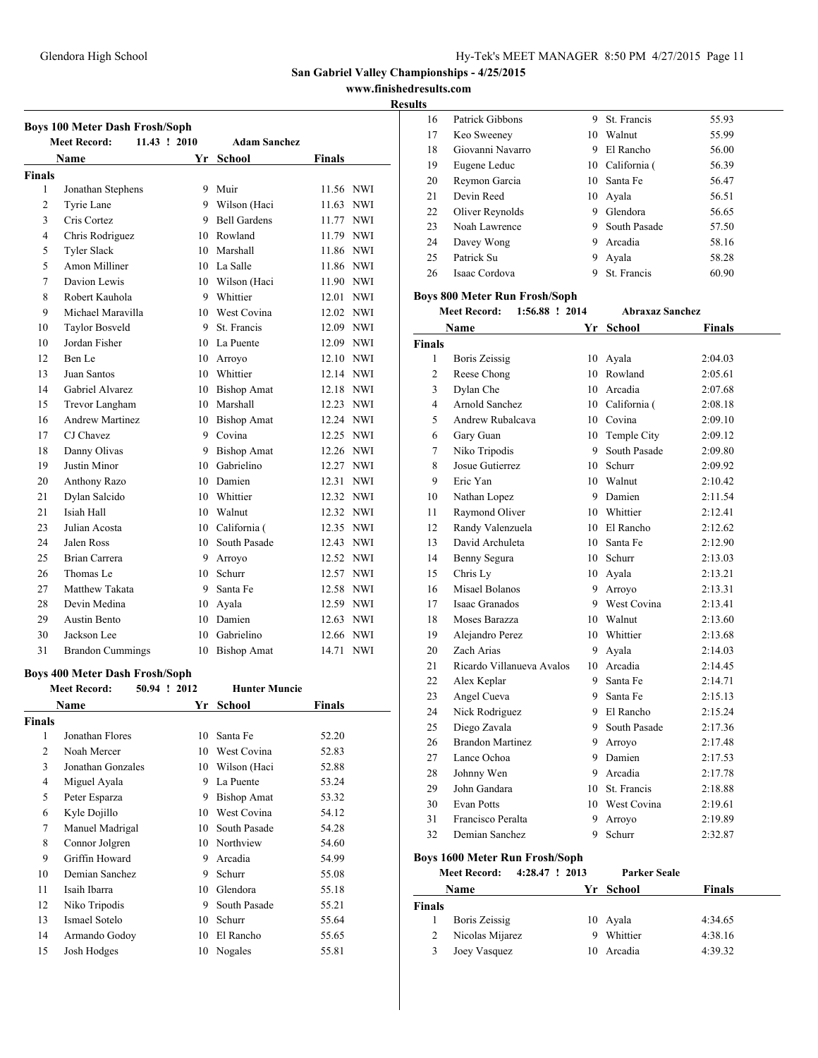**www.finishedresults.com**

#### **Results**

|                | <b>Meet Record:</b><br>11.43 ! 2010   | <b>Adam Sanchez</b>  |                     |
|----------------|---------------------------------------|----------------------|---------------------|
|                | Name                                  | Yr School            | <b>Finals</b>       |
| <b>Finals</b>  |                                       |                      |                     |
| 1              | Jonathan Stephens                     | 9 Muir               | 11.56 NWI           |
| $\overline{c}$ | Tyrie Lane                            | 9 Wilson (Haci       | 11.63 NWI           |
| 3              | Cris Cortez                           | 9 Bell Gardens       | 11.77 NWI           |
| $\overline{4}$ | Chris Rodriguez                       | 10 Rowland           | 11.79 NWI           |
| 5              | <b>Tyler Slack</b>                    | 10 Marshall          | 11.86 NWI           |
| 5              | Amon Milliner                         | 10 La Salle          | 11.86 NWI           |
| 7              | Davion Lewis                          | 10 Wilson (Haci      | 11.90 NWI           |
| 8              | Robert Kauhola                        | 9 Whittier           | 12.01 NWI           |
| 9              | Michael Maravilla                     | 10 West Covina       | 12.02 NWI           |
| 10             | <b>Taylor Bosveld</b>                 | 9 St. Francis        | 12.09 NWI           |
| 10             | Jordan Fisher                         | 10 La Puente         | 12.09 NWI           |
| 12             | Ben Le                                | 10 Arroyo            | 12.10 NWI           |
| 13             | Juan Santos                           | 10 Whittier          | 12.14 NWI           |
| 14             | Gabriel Alvarez                       | 10 Bishop Amat       | 12.18 NWI           |
| 15             | Trevor Langham                        | 10 Marshall          | 12.23 NWI           |
| 16             | <b>Andrew Martinez</b>                | 10 Bishop Amat       | 12.24 NWI           |
| 17             | CJ Chavez                             | 9 Covina             | 12.25 NWI           |
| 18             | Danny Olivas                          | 9 Bishop Amat        | 12.26<br><b>NWI</b> |
| 19             | Justin Minor                          | 10 Gabrielino        | 12.27 NWI           |
| 20             | Anthony Razo                          | 10 Damien            | 12.31 NWI           |
| 21             | Dylan Salcido                         | 10 Whittier          | 12.32 NWI           |
| 21             | Isiah Hall                            | 10 Walnut            | 12.32 NWI           |
| 23             | Julian Acosta                         | 10 California (      | 12.35 NWI           |
| 24             | Jalen Ross                            | 10 South Pasade      | 12.43 NWI           |
| 25             | Brian Carrera                         | 9 Arroyo             | 12.52 NWI           |
| 26             | Thomas Le                             | 10 Schurr            | 12.57 NWI           |
| 27             | Matthew Takata                        | 9 Santa Fe           | 12.58 NWI           |
| 28             | Devin Medina                          | 10 Ayala             | 12.59 NWI           |
| 29             | <b>Austin Bento</b>                   | 10 Damien            | 12.63 NWI           |
| 30             | Jackson Lee                           | 10 Gabrielino        | 12.66 NWI           |
| 31             | <b>Brandon Cummings</b>               | 10 Bishop Amat       | 14.71<br><b>NWI</b> |
|                |                                       |                      |                     |
|                | <b>Boys 400 Meter Dash Frosh/Soph</b> |                      |                     |
|                | 50.94 ! 2012<br><b>Meet Record:</b>   | <b>Hunter Muncie</b> |                     |
|                | <b>Name</b>                           | Yr School            | <b>Finals</b>       |
| <b>Finals</b>  |                                       |                      |                     |
| 1              | Jonathan Flores                       | 10 Santa Fe          | 52.20               |
| $\overline{2}$ | Noah Mercer                           | 10 West Covina       | 52.83               |
| 3              | Jonathan Gonzales                     | 10 Wilson (Haci      | 52.88               |
| 4              | Miguel Ayala                          | 9 La Puente          | 53.24               |

5 Peter Esparza 9 Bishop Amat 53.32 Kyle Dojillo 10 West Covina 54.12 Manuel Madrigal 10 South Pasade 54.28 8 Connor Jolgren 10 Northview 54.60 9 Griffin Howard 9 Arcadia 54.99 10 Demian Sanchez 9 Schurr 55.08 Isaih Ibarra 10 Glendora 55.18 Niko Tripodis 9 South Pasade 55.21 Ismael Sotelo 10 Schurr 55.64 Armando Godoy 10 El Rancho 55.65 Josh Hodges 10 Nogales 55.81

| 16 | Patrick Gibbons  | 9 | St. Francis     | 55.93 |  |
|----|------------------|---|-----------------|-------|--|
| 17 | Keo Sweeney      |   | 10 Walnut       | 55.99 |  |
| 18 | Giovanni Navarro | 9 | El Rancho       | 56.00 |  |
| 19 | Eugene Leduc     |   | 10 California ( | 56.39 |  |
| 20 | Reymon Garcia    |   | 10 Santa Fe     | 56.47 |  |
| 21 | Devin Reed       |   | 10 Ayala        | 56.51 |  |
| 22 | Oliver Reynolds  | 9 | Glendora        | 56.65 |  |
| 23 | Noah Lawrence    | 9 | South Pasade    | 57.50 |  |
| 24 | Davey Wong       | 9 | Arcadia         | 58.16 |  |
| 25 | Patrick Su       | 9 | Avala           | 58.28 |  |
| 26 | Isaac Cordova    | 9 | St. Francis     | 60.90 |  |

### **Boys 800 Meter Run Frosh/Soph**

| <b>Meet Record:</b> | $1:56.88$ ! 2014 | <b>Abraxaz Sanchez</b> |
|---------------------|------------------|------------------------|

| Name           |                           | Yr | <b>School</b>   | <b>Finals</b> |
|----------------|---------------------------|----|-----------------|---------------|
| <b>Finals</b>  |                           |    |                 |               |
| 1              | <b>Boris Zeissig</b>      | 10 | Ayala           | 2:04.03       |
| $\overline{2}$ | Reese Chong               | 10 | Rowland         | 2:05.61       |
| 3              | Dylan Che                 |    | 10 Arcadia      | 2:07.68       |
| 4              | Arnold Sanchez            |    | 10 California ( | 2:08.18       |
| 5              | Andrew Rubalcava          |    | 10 Covina       | 2:09.10       |
| 6              | Gary Guan                 |    | 10 Temple City  | 2:09.12       |
| 7              | Niko Tripodis             | 9. | South Pasade    | 2:09.80       |
| 8              | Josue Gutierrez           | 10 | Schurr          | 2:09.92       |
| 9              | Eric Yan                  |    | 10 Walnut       | 2:10.42       |
| 10             | Nathan Lopez              |    | 9 Damien        | 2:11.54       |
| 11             | Raymond Oliver            |    | 10 Whittier     | 2:12.41       |
| 12             | Randy Valenzuela          |    | 10 El Rancho    | 2:12.62       |
| 13             | David Archuleta           | 10 | Santa Fe        | 2:12.90       |
| 14             | Benny Segura              | 10 | Schurr          | 2:13.03       |
| 15             | Chris Ly                  |    | 10 Ayala        | 2:13.21       |
| 16             | Misael Bolanos            |    | 9 Arroyo        | 2:13.31       |
| 17             | Isaac Granados            |    | 9 West Covina   | 2:13.41       |
| 18             | Moses Barazza             |    | 10 Walnut       | 2:13.60       |
| 19             | Alejandro Perez           |    | 10 Whittier     | 2:13.68       |
| 20             | Zach Arias                | 9. | Ayala           | 2:14.03       |
| 21             | Ricardo Villanueva Avalos |    | 10 Arcadia      | 2:14.45       |
| 22             | Alex Keplar               | 9  | Santa Fe        | 2:14.71       |
| 23             | Angel Cueva               | 9  | Santa Fe        | 2:15.13       |
| 24             | Nick Rodriguez            |    | 9 El Rancho     | 2:15.24       |
| 25             | Diego Zavala              | 9  | South Pasade    | 2:17.36       |
| 26             | <b>Brandon Martinez</b>   | 9. | Arroyo          | 2:17.48       |
| 27             | Lance Ochoa               | 9. | Damien          | 2:17.53       |
| 28             | Johnny Wen                |    | 9 Arcadia       | 2:17.78       |
| 29             | John Gandara              |    | 10 St. Francis  | 2:18.88       |
| 30             | <b>Evan Potts</b>         |    | 10 West Covina  | 2:19.61       |
| 31             | Francisco Peralta         | 9. | Arroyo          | 2:19.89       |
| 32             | Demian Sanchez            | 9  | Schurr          | 2:32.87       |
|                |                           |    |                 |               |

# **Boys 1600 Meter Run Frosh/Soph**

|        | <b>Meet Record:</b> | 4:28.47 ! 2013 |    | <b>Parker Seale</b> |               |  |
|--------|---------------------|----------------|----|---------------------|---------------|--|
|        | <b>Name</b>         |                |    | Yr School           | <b>Finals</b> |  |
| Finals |                     |                |    |                     |               |  |
|        | Boris Zeissig       |                |    | 10 Ayala            | 4:34.65       |  |
|        | Nicolas Mijarez     |                | 9  | Whittier            | 4:38.16       |  |
|        | Joey Vasquez        |                | 10 | Arcadia             | 4:39.32       |  |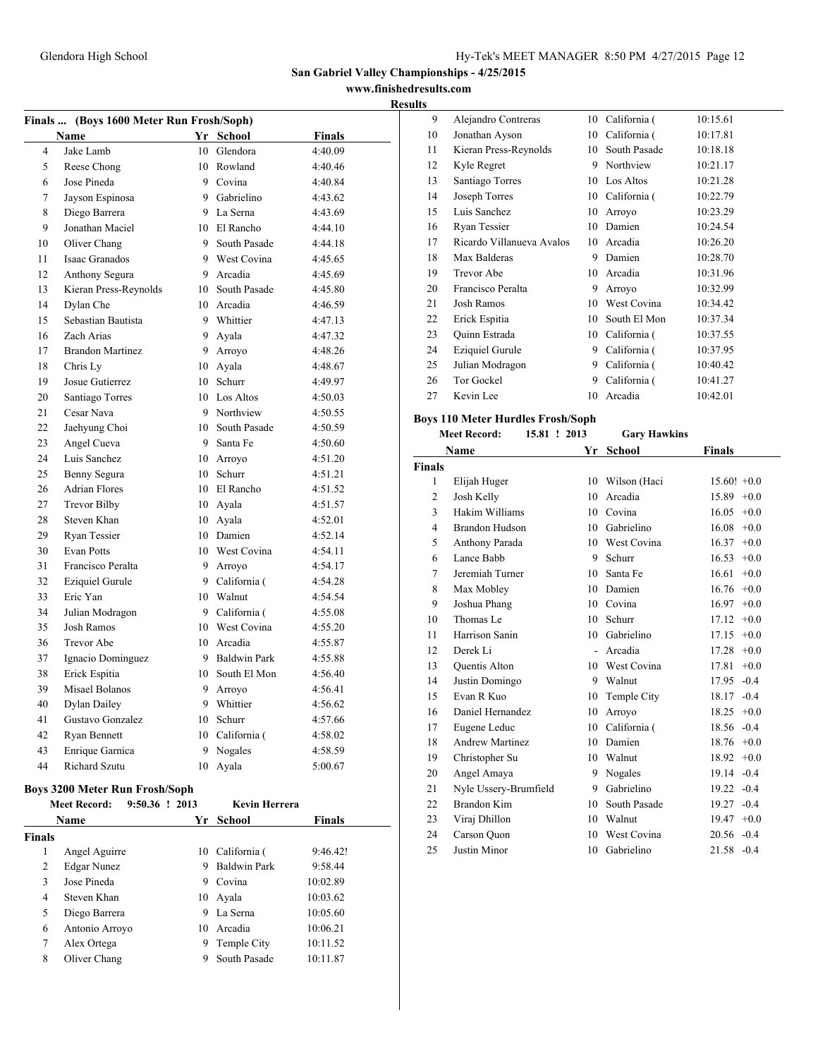**www.finishedresults.com**

### **Results**

| Finals  (Boys 1600 Meter Run Frosh/Soph) |                                                                                            |    |                 |               |  |  |  |
|------------------------------------------|--------------------------------------------------------------------------------------------|----|-----------------|---------------|--|--|--|
|                                          | Name                                                                                       |    | Yr School       | <b>Finals</b> |  |  |  |
| 4                                        | Jake Lamb                                                                                  |    | 10 Glendora     | 4:40.09       |  |  |  |
| 5                                        | Reese Chong                                                                                |    | 10 Rowland      | 4:40.46       |  |  |  |
| 6                                        | Jose Pineda                                                                                |    | 9 Covina        | 4:40.84       |  |  |  |
| 7                                        | Jayson Espinosa                                                                            |    | 9 Gabrielino    | 4:43.62       |  |  |  |
| 8                                        | Diego Barrera                                                                              |    | 9 La Serna      | 4:43.69       |  |  |  |
| 9                                        | Jonathan Maciel                                                                            |    | 10 El Rancho    | 4:44.10       |  |  |  |
| 10                                       | Oliver Chang                                                                               |    | 9 South Pasade  | 4:44.18       |  |  |  |
| 11                                       | Isaac Granados                                                                             |    | 9 West Covina   | 4:45.65       |  |  |  |
| 12                                       | Anthony Segura                                                                             | 9  | Arcadia         | 4:45.69       |  |  |  |
| 13                                       | Kieran Press-Reynolds                                                                      |    | 10 South Pasade | 4:45.80       |  |  |  |
| 14                                       | Dylan Che                                                                                  |    | 10 Arcadia      | 4:46.59       |  |  |  |
| 15                                       | Sebastian Bautista                                                                         |    | 9 Whittier      | 4:47.13       |  |  |  |
| 16                                       | Zach Arias                                                                                 | 9  | Ayala           | 4:47.32       |  |  |  |
| 17                                       | <b>Brandon Martinez</b>                                                                    |    | 9 Arroyo        | 4:48.26       |  |  |  |
| 18                                       | Chris Ly                                                                                   |    | 10 Ayala        | 4:48.67       |  |  |  |
| 19                                       | Josue Gutierrez                                                                            |    | 10 Schurr       | 4:49.97       |  |  |  |
| 20                                       | Santiago Torres                                                                            |    | 10 Los Altos    | 4:50.03       |  |  |  |
| 21                                       | Cesar Nava                                                                                 |    | 9 Northview     | 4:50.55       |  |  |  |
| 22                                       | Jaehyung Choi                                                                              |    | 10 South Pasade | 4:50.59       |  |  |  |
| 23                                       | Angel Cueva                                                                                |    | 9 Santa Fe      | 4:50.60       |  |  |  |
| 24                                       | Luis Sanchez                                                                               |    | 10 Arroyo       | 4:51.20       |  |  |  |
| 25                                       | Benny Segura                                                                               |    | 10 Schurr       | 4:51.21       |  |  |  |
| 26                                       | <b>Adrian Flores</b>                                                                       |    | 10 El Rancho    | 4:51.52       |  |  |  |
| 27                                       | <b>Trevor Bilby</b>                                                                        |    | 10 Ayala        | 4:51.57       |  |  |  |
| 28                                       | Steven Khan                                                                                |    | 10 Ayala        | 4:52.01       |  |  |  |
| 29                                       | <b>Rvan Tessier</b>                                                                        |    | 10 Damien       | 4:52.14       |  |  |  |
| 30                                       | <b>Evan Potts</b>                                                                          |    | 10 West Covina  | 4:54.11       |  |  |  |
| 31                                       | Francisco Peralta                                                                          |    | 9 Arroyo        | 4:54.17       |  |  |  |
| 32                                       | <b>Eziquiel Gurule</b>                                                                     |    | 9 California (  | 4:54.28       |  |  |  |
| 33                                       | Eric Yan                                                                                   |    | 10 Walnut       | 4:54.54       |  |  |  |
| 34                                       | Julian Modragon                                                                            |    | 9 California (  | 4:55.08       |  |  |  |
| 35                                       | <b>Josh Ramos</b>                                                                          |    | 10 West Covina  | 4:55.20       |  |  |  |
| 36                                       | <b>Trevor Abe</b>                                                                          |    | 10 Arcadia      | 4:55.87       |  |  |  |
| 37                                       | Ignacio Dominguez                                                                          |    | 9 Baldwin Park  | 4:55.88       |  |  |  |
| 38                                       | Erick Espitia                                                                              |    | 10 South El Mon | 4:56.40       |  |  |  |
| 39                                       | Misael Bolanos                                                                             |    | 9 Arroyo        | 4:56.41       |  |  |  |
| 40                                       | <b>Dylan Dailey</b>                                                                        |    | 9 Whittier      | 4:56.62       |  |  |  |
| 41                                       | Gustavo Gonzalez                                                                           |    | 10 Schurr       | 4:57.66       |  |  |  |
| 42                                       | Ryan Bennett                                                                               |    | 10 California ( | 4:58.02       |  |  |  |
| 43                                       | Enrique Garnica                                                                            | 9  | Nogales         | 4:58.59       |  |  |  |
| 44                                       | Richard Szutu                                                                              | 10 | Avala           | 5:00.67       |  |  |  |
|                                          | $D_{\text{avg}}$ 2200 $M_{\text{atom}}$ $D_{\text{new}}$ $E_{\text{model}}/E_{\text{sub}}$ |    |                 |               |  |  |  |

#### **Boys 3200 Meter Run Frosh/Soph**

|        | <b>Meet Record:</b> | 9:50.36 ! 2013 |    | <b>Kevin Herrera</b> |               |  |
|--------|---------------------|----------------|----|----------------------|---------------|--|
|        | Name                |                |    | Yr School            | <b>Finals</b> |  |
| Finals |                     |                |    |                      |               |  |
| 1      | Angel Aguirre       |                | 10 | California (         | 9:46.42!      |  |
| 2      | Edgar Nunez         |                | 9  | <b>Baldwin Park</b>  | 9:58.44       |  |
| 3      | Jose Pineda         |                | 9  | Covina               | 10:02.89      |  |
| 4      | Steven Khan         |                | 10 | Ayala                | 10:03.62      |  |
| 5      | Diego Barrera       |                | 9  | La Serna             | 10:05.60      |  |
| 6      | Antonio Arroyo      |                | 10 | Arcadia              | 10:06.21      |  |
| 7      | Alex Ortega         |                | 9  | Temple City          | 10:11.52      |  |
| 8      | Oliver Chang        |                |    | South Pasade         | 10:11.87      |  |
|        |                     |                |    |                      |               |  |

| TS. |                           |    |              |          |
|-----|---------------------------|----|--------------|----------|
| 9   | Alejandro Contreras       | 10 | California ( | 10:15.61 |
| 10  | Jonathan Ayson            | 10 | California ( | 10:17.81 |
| 11  | Kieran Press-Reynolds     | 10 | South Pasade | 10:18.18 |
| 12  | Kyle Regret               | 9  | Northview    | 10:21.17 |
| 13  | Santiago Torres           | 10 | Los Altos    | 10:21.28 |
| 14  | Joseph Torres             | 10 | California ( | 10:22.79 |
| 15  | Luis Sanchez              | 10 | Arroyo       | 10:23.29 |
| 16  | Ryan Tessier              | 10 | Damien       | 10:24.54 |
| 17  | Ricardo Villanueva Avalos | 10 | Arcadia      | 10:26.20 |
| 18  | Max Balderas              | 9  | Damien       | 10:28.70 |
| 19  | <b>Trevor Abe</b>         | 10 | Arcadia      | 10:31.96 |
| 20  | Francisco Peralta         | 9  | Arroyo       | 10:32.99 |
| 21  | <b>Josh Ramos</b>         | 10 | West Covina  | 10:34.42 |
| 22  | Erick Espitia             | 10 | South El Mon | 10:37.34 |
| 23  | Ouinn Estrada             | 10 | California ( | 10:37.55 |
| 24  | <b>Eziquiel Gurule</b>    | 9  | California ( | 10:37.95 |
| 25  | Julian Modragon           | 9  | California ( | 10:40.42 |
| 26  | Tor Gockel                | 9  | California ( | 10:41.27 |
| 27  | Kevin Lee                 | 10 | Arcadia      | 10:42.01 |

# **Boys 110 Meter Hurdles Frosh/Soph**

| <b>Meet Record:</b><br>15.81 ! 2013 |                       | <b>Gary Hawkins</b> |                 |                 |
|-------------------------------------|-----------------------|---------------------|-----------------|-----------------|
|                                     | Name                  | Yr                  | <b>School</b>   | <b>Finals</b>   |
| <b>Finals</b>                       |                       |                     |                 |                 |
| $\mathbf{1}$                        | Elijah Huger          |                     | 10 Wilson (Haci | $15.60! +0.0$   |
| $\overline{c}$                      | Josh Kelly            | 10                  | Arcadia         | $15.89 + 0.0$   |
| 3                                   | Hakim Williams        | 10                  | Covina          | 16.05<br>$+0.0$ |
| 4                                   | <b>Brandon Hudson</b> |                     | 10 Gabrielino   | 16.08<br>$+0.0$ |
| 5                                   | Anthony Parada        | 10                  | West Covina     | 16.37<br>$+0.0$ |
| 6                                   | Lance Babb            | 9                   | Schurr          | 16.53<br>$+0.0$ |
| 7                                   | Jeremiah Turner       | 10                  | Santa Fe        | 16.61<br>$+0.0$ |
| 8                                   | Max Mobley            | 10                  | Damien          | 16.76<br>$+0.0$ |
| 9                                   | Joshua Phang          | 10                  | Covina          | $16.97 + 0.0$   |
| 10                                  | Thomas Le             | 10                  | Schurr          | 17.12<br>$+0.0$ |
| 11                                  | Harrison Sanin        | 10                  | Gabrielino      | 17.15<br>$+0.0$ |
| 12                                  | Derek Li              | $\overline{a}$      | Arcadia         | $17.28 + 0.0$   |
| 13                                  | Quentis Alton         |                     | 10 West Covina  | 17.81<br>$+0.0$ |
| 14                                  | Justin Domingo        | 9                   | Walnut          | 17.95<br>$-0.4$ |
| 15                                  | Evan R Kuo            | 10                  | Temple City     | $18.17 - 0.4$   |
| 16                                  | Daniel Hernandez      | 10                  | Arroyo          | $18.25 +0.0$    |
| 17                                  | Eugene Leduc          | 10                  | California (    | 18.56<br>$-0.4$ |
| 18                                  | Andrew Martinez       | 10                  | Damien          | $18.76 + 0.0$   |
| 19                                  | Christopher Su        | 10                  | Walnut          | $18.92 +0.0$    |
| 20                                  | Angel Amaya           | 9                   | Nogales         | 19.14<br>$-0.4$ |
| 21                                  | Nyle Ussery-Brumfield | 9                   | Gabrielino      | $19.22 - 0.4$   |
| 22                                  | Brandon Kim           | 10                  | South Pasade    | 19.27<br>$-0.4$ |
| 23                                  | Viraj Dhillon         | 10                  | Walnut          | 19.47<br>$+0.0$ |
| 24                                  | Carson Ouon           | 10                  | West Covina     | $20.56 - 0.4$   |
| 25                                  | Justin Minor          | 10                  | Gabrielino      | 21.58<br>$-0.4$ |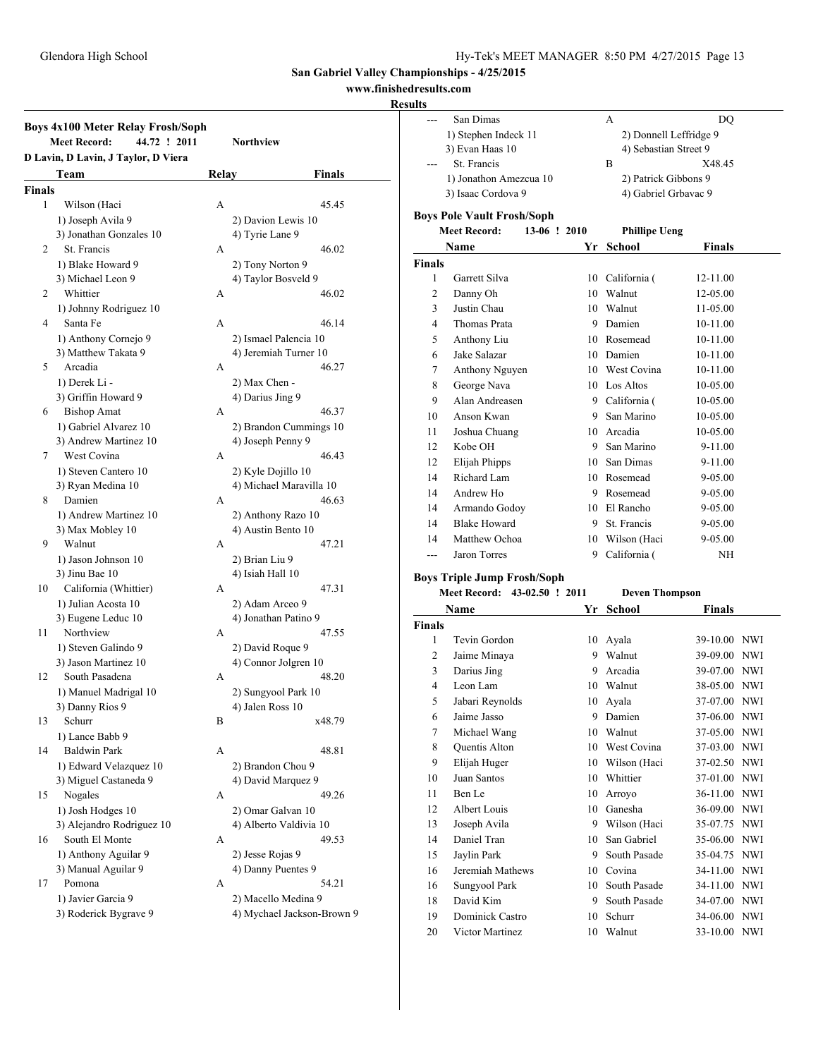### **www.finishedresults.com**

| <b>Boys 4x100 Meter Relay Frosh/Soph</b><br>44.72 ! 2011<br><b>Meet Record:</b><br>Northview |                                     |       |                            |  |  |
|----------------------------------------------------------------------------------------------|-------------------------------------|-------|----------------------------|--|--|
|                                                                                              | D Lavin, D Lavin, J Taylor, D Viera |       |                            |  |  |
|                                                                                              | Team                                | Relay | Finals                     |  |  |
| <b>Finals</b>                                                                                |                                     |       |                            |  |  |
| 1                                                                                            | Wilson (Haci                        | A     | 45.45                      |  |  |
|                                                                                              | 1) Joseph Avila 9                   |       | 2) Davion Lewis 10         |  |  |
|                                                                                              | 3) Jonathan Gonzales 10             |       | 4) Tyrie Lane 9            |  |  |
| 2                                                                                            | St. Francis                         | A     | 46.02                      |  |  |
|                                                                                              | 1) Blake Howard 9                   |       | 2) Tony Norton 9           |  |  |
|                                                                                              | 3) Michael Leon 9                   |       | 4) Taylor Bosveld 9        |  |  |
| $\overline{2}$                                                                               | Whittier                            | А     | 46.02                      |  |  |
|                                                                                              | 1) Johnny Rodriguez 10              |       |                            |  |  |
| 4                                                                                            | Santa Fe                            | A     | 46.14                      |  |  |
|                                                                                              | 1) Anthony Cornejo 9                |       | 2) Ismael Palencia 10      |  |  |
|                                                                                              | 3) Matthew Takata 9                 |       | 4) Jeremiah Turner 10      |  |  |
| 5                                                                                            | Arcadia                             | A     | 46.27                      |  |  |
|                                                                                              | 1) Derek Li -                       |       | 2) Max Chen -              |  |  |
|                                                                                              | 3) Griffin Howard 9                 |       | 4) Darius Jing 9           |  |  |
| 6                                                                                            | <b>Bishop Amat</b>                  | A     | 46.37                      |  |  |
|                                                                                              | 1) Gabriel Alvarez 10               |       | 2) Brandon Cummings 10     |  |  |
|                                                                                              | 3) Andrew Martinez 10               |       | 4) Joseph Penny 9          |  |  |
| 7                                                                                            | West Covina                         | A     | 46.43                      |  |  |
|                                                                                              | 1) Steven Cantero 10                |       | 2) Kyle Dojillo 10         |  |  |
|                                                                                              | 3) Ryan Medina 10                   |       | 4) Michael Maravilla 10    |  |  |
| 8                                                                                            | Damien                              | A     | 46.63                      |  |  |
|                                                                                              | 1) Andrew Martinez 10               |       | 2) Anthony Razo 10         |  |  |
|                                                                                              | 3) Max Mobley 10                    |       | 4) Austin Bento 10         |  |  |
| 9                                                                                            | Walnut                              | A     | 47.21                      |  |  |
|                                                                                              | 1) Jason Johnson 10                 |       | 2) Brian Liu 9             |  |  |
|                                                                                              | 3) Jinu Bae 10                      |       | 4) Isiah Hall 10           |  |  |
| 10                                                                                           | California (Whittier)               | A     | 47.31                      |  |  |
|                                                                                              | 1) Julian Acosta 10                 |       | 2) Adam Arceo 9            |  |  |
|                                                                                              | 3) Eugene Leduc 10                  |       | 4) Jonathan Patino 9       |  |  |
| 11                                                                                           | Northview                           | A     | 47.55                      |  |  |
|                                                                                              | 1) Steven Galindo 9                 |       | 2) David Roque 9           |  |  |
|                                                                                              | 3) Jason Martinez 10                |       | 4) Connor Jolgren 10       |  |  |
| 12                                                                                           | South Pasadena                      | A     | 48.20                      |  |  |
|                                                                                              | 1) Manuel Madrigal 10               |       | 2) Sungyool Park 10        |  |  |
|                                                                                              | 3) Danny Rios 9                     |       | 4) Jalen Ross 10           |  |  |
| 13                                                                                           | Schurr                              | В     | x48.79                     |  |  |
|                                                                                              | 1) Lance Babb 9                     |       |                            |  |  |
| 14                                                                                           | <b>Baldwin Park</b>                 | А     | 48.81                      |  |  |
|                                                                                              | 1) Edward Velazquez 10              |       | 2) Brandon Chou 9          |  |  |
|                                                                                              | 3) Miguel Castaneda 9               |       | 4) David Marquez 9         |  |  |
| 15                                                                                           | Nogales                             | А     | 49.26                      |  |  |
|                                                                                              | 1) Josh Hodges 10                   |       | 2) Omar Galvan 10          |  |  |
|                                                                                              | 3) Alejandro Rodriguez 10           |       | 4) Alberto Valdivia 10     |  |  |
| 16                                                                                           | South El Monte                      | А     | 49.53                      |  |  |
|                                                                                              | 1) Anthony Aguilar 9                |       | 2) Jesse Rojas 9           |  |  |
|                                                                                              | 3) Manual Aguilar 9                 |       | 4) Danny Puentes 9         |  |  |
| 17                                                                                           | Pomona                              | А     | 54.21                      |  |  |
|                                                                                              | 1) Javier Garcia 9                  |       | 2) Macello Medina 9        |  |  |
|                                                                                              | 3) Roderick Bygrave 9               |       | 4) Mychael Jackson-Brown 9 |  |  |

| ---            | San Dimas                           |    | А                              | DQ           |            |
|----------------|-------------------------------------|----|--------------------------------|--------------|------------|
|                | 1) Stephen Indeck 11                |    | 2) Donnell Leffridge 9         |              |            |
|                | 3) Evan Haas 10                     |    | 4) Sebastian Street 9          |              |            |
|                | St. Francis                         |    | B                              | X48.45       |            |
|                | 1) Jonathon Amezcua 10              |    | 2) Patrick Gibbons 9           |              |            |
|                | 3) Isaac Cordova 9                  |    | 4) Gabriel Grbavac 9           |              |            |
|                | <b>Boys Pole Vault Frosh/Soph</b>   |    |                                |              |            |
|                | <b>Meet Record:</b><br>13-06 ! 2010 |    | <b>Phillipe Ueng</b>           |              |            |
|                | Name                                | Yr | <b>School</b>                  | Finals       |            |
| <b>Finals</b>  |                                     |    |                                |              |            |
| 1              | Garrett Silva                       |    | 10 California (                | 12-11.00     |            |
| 2              | Danny Oh                            |    | 10 Walnut                      | 12-05.00     |            |
| 3              | Justin Chau                         |    | 10 Walnut                      | 11-05.00     |            |
| $\overline{4}$ | Thomas Prata                        |    | 9 Damien                       | 10-11.00     |            |
| 5              |                                     |    | 10 Rosemead                    | 10-11.00     |            |
| 6              | Anthony Liu<br>Jake Salazar         |    | 10 Damien                      | 10-11.00     |            |
| 7              |                                     |    | 10 West Covina                 | 10-11.00     |            |
| 8              | Anthony Nguyen<br>George Nava       |    | 10 Los Altos                   | 10-05.00     |            |
| 9              | Alan Andreasen                      |    |                                |              |            |
| 10             | Anson Kwan                          |    | 9 California (<br>9 San Marino | 10-05.00     |            |
|                |                                     |    | 10 Arcadia                     | 10-05.00     |            |
| 11             | Joshua Chuang<br>Kobe OH            |    |                                | 10-05.00     |            |
| 12             |                                     |    | 9 San Marino                   | 9-11.00      |            |
| 12             | Elijah Phipps                       |    | 10 San Dimas                   | 9-11.00      |            |
| 14             | Richard Lam                         |    | 10 Rosemead                    | 9-05.00      |            |
| 14             | Andrew Ho                           |    | 9 Rosemead                     | 9-05.00      |            |
| 14             | Armando Godoy                       |    | 10 El Rancho                   | 9-05.00      |            |
| 14             | <b>Blake Howard</b>                 |    | 9 St. Francis                  | 9-05.00      |            |
| 14             | Matthew Ochoa                       |    | 10 Wilson (Haci                | 9-05.00      |            |
| $---$          | Jaron Torres                        |    | 9 California (                 | NH           |            |
|                | <b>Boys Triple Jump Frosh/Soph</b>  |    |                                |              |            |
|                | Meet Record: 43-02.50 ! 2011        |    | <b>Deven Thompson</b>          |              |            |
|                | Name                                |    | Yr School                      | Finals       |            |
| <b>Finals</b>  |                                     |    |                                |              |            |
| 1              | Tevin Gordon                        |    | 10 Ayala                       | 39-10.00 NWI |            |
| 2              | Jaime Minaya                        |    | 9 Walnut                       | 39-09.00 NWI |            |
| 3              | Darius Jing                         |    | 9 Arcadia                      | 39-07.00 NWI |            |
| 4              | Leon Lam                            |    | 10 Walnut                      | 38-05.00 NWI |            |
| 5              | Jabari Reynolds                     |    | 10 Ayala                       | 37-07.00 NWI |            |
| 6              | Jaime Jasso                         |    | 9 Damien                       | 37-06.00     | <b>NWI</b> |
| 7              | Michael Wang                        | 10 | Walnut                         | 37-05.00     | <b>NWI</b> |
| 8              | Quentis Alton                       |    | 10 West Covina                 | 37-03.00     | NWI        |
| 9              | Elijah Huger                        |    | 10 Wilson (Haci                | 37-02.50     | <b>NWI</b> |
| 10             | Juan Santos                         |    | 10 Whittier                    | 37-01.00     | <b>NWI</b> |
| 11             | Ben Le                              | 10 | Arroyo                         | 36-11.00     | NWI        |
| 12             | Albert Louis                        | 10 | Ganesha                        | 36-09.00     | NWI        |
| 13             | Joseph Avila                        |    | 9 Wilson (Haci                 | 35-07.75     | NWI        |
| 14             | Daniel Tran                         | 10 | San Gabriel                    | 35-06.00     | NWI        |
| 15             | Jaylin Park                         | 9  | South Pasade                   | 35-04.75     | NWI        |
| 16             | Jeremiah Mathews                    |    | 10 Covina                      | 34-11.00 NWI |            |
| 16             | Sungyool Park                       |    | 10 South Pasade                | 34-11.00 NWI |            |
| 18             | David Kim                           |    | 9 South Pasade                 | 34-07.00 NWI |            |
| 19             | Dominick Castro                     | 10 | Schurr                         | 34-06.00     | NWI        |
| 20             | Victor Martinez                     |    | 10 Walnut                      | 33-10.00     | NWI        |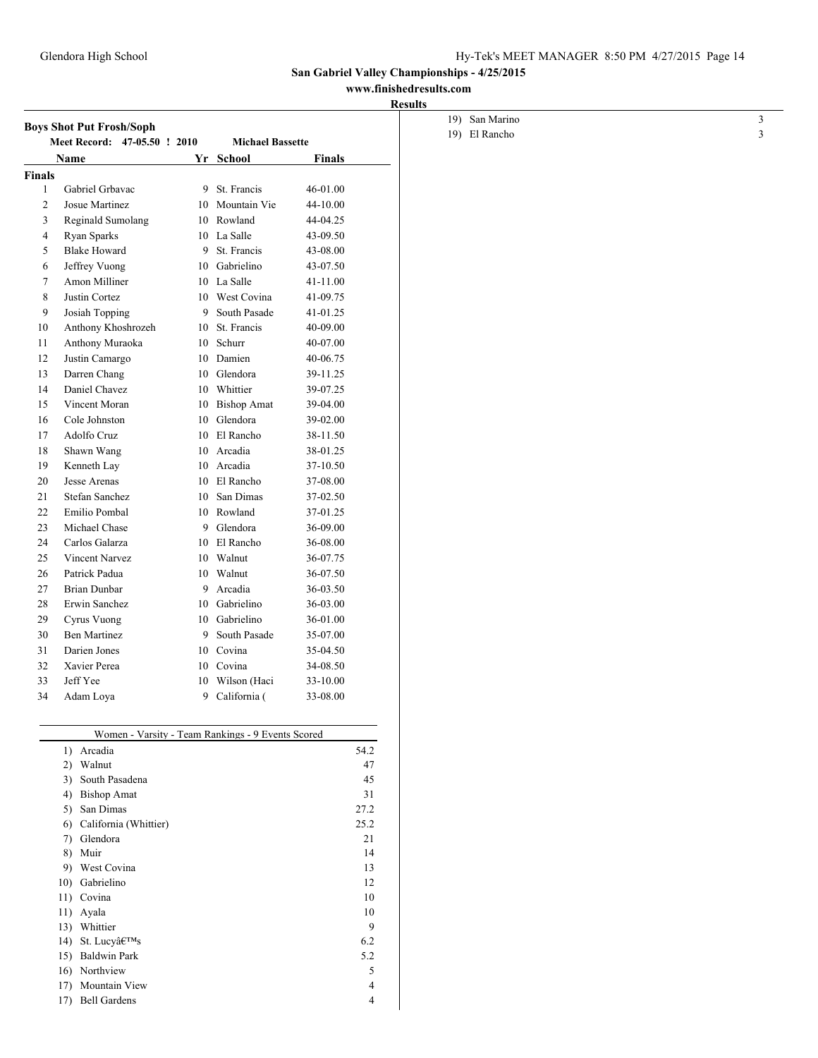# **www.finishedresults.com**

| <b>Results</b> |
|----------------|
|----------------|

|                | <b>Boys Shot Put Frosh/Soph</b>        |    |                                                   |          |      |
|----------------|----------------------------------------|----|---------------------------------------------------|----------|------|
|                | <b>Meet Record:</b><br>47-05.50 ! 2010 |    | <b>Michael Bassette</b>                           |          |      |
|                | <b>Name</b>                            |    | Yr School                                         | Finals   |      |
| <b>Finals</b>  |                                        |    |                                                   |          |      |
| 1              | Gabriel Grbavac                        | 9  | St. Francis                                       | 46-01.00 |      |
| $\overline{2}$ | Josue Martinez                         |    | 10 Mountain Vie                                   | 44-10.00 |      |
| 3              | Reginald Sumolang                      |    | 10 Rowland                                        | 44-04.25 |      |
| 4              | Ryan Sparks                            |    | 10 La Salle                                       | 43-09.50 |      |
| 5              | <b>Blake Howard</b>                    | 9  | St. Francis                                       | 43-08.00 |      |
| 6              | Jeffrey Vuong                          |    | 10 Gabrielino                                     | 43-07.50 |      |
| $\overline{7}$ | Amon Milliner                          |    | 10 La Salle                                       | 41-11.00 |      |
| 8              | Justin Cortez                          |    | 10 West Covina                                    | 41-09.75 |      |
| 9              | Josiah Topping                         | 9  | South Pasade                                      | 41-01.25 |      |
| 10             | Anthony Khoshrozeh                     | 10 | St. Francis                                       | 40-09.00 |      |
| 11             | Anthony Muraoka                        | 10 | Schurr                                            | 40-07.00 |      |
| 12             | Justin Camargo                         |    | 10 Damien                                         | 40-06.75 |      |
| 13             | Darren Chang                           |    | 10 Glendora                                       | 39-11.25 |      |
| 14             | Daniel Chavez                          |    | 10 Whittier                                       | 39-07.25 |      |
| 15             | Vincent Moran                          |    | 10 Bishop Amat                                    | 39-04.00 |      |
| 16             | Cole Johnston                          |    | 10 Glendora                                       | 39-02.00 |      |
| 17             | Adolfo Cruz                            |    | 10 El Rancho                                      | 38-11.50 |      |
| 18             | Shawn Wang                             |    | 10 Arcadia                                        | 38-01.25 |      |
| 19             | Kenneth Lav                            |    | 10 Arcadia                                        | 37-10.50 |      |
| 20             | Jesse Arenas                           |    | 10 El Rancho                                      | 37-08.00 |      |
| 21             | Stefan Sanchez                         |    | 10 San Dimas                                      | 37-02.50 |      |
| 22             | Emilio Pombal                          |    | 10 Rowland                                        | 37-01.25 |      |
| 23             | Michael Chase                          | 9  | Glendora                                          | 36-09.00 |      |
| 24             | Carlos Galarza                         |    | 10 El Rancho                                      | 36-08.00 |      |
| 25             | <b>Vincent Narvez</b>                  |    | 10 Walnut                                         | 36-07.75 |      |
| 26             | Patrick Padua                          |    | 10 Walnut                                         | 36-07.50 |      |
| 27             | <b>Brian Dunbar</b>                    | 9  | Arcadia                                           | 36-03.50 |      |
| 28             | Erwin Sanchez                          |    | 10 Gabrielino                                     | 36-03.00 |      |
| 29             | Cyrus Vuong                            | 10 | Gabrielino                                        | 36-01.00 |      |
| 30             | <b>Ben Martinez</b>                    | 9  | South Pasade                                      | 35-07.00 |      |
| 31             | Darien Jones                           |    | 10 Covina                                         | 35-04.50 |      |
| 32             | Xavier Perea                           |    | 10 Covina                                         | 34-08.50 |      |
| 33             | Jeff Yee                               |    | 10 Wilson (Haci                                   | 33-10.00 |      |
| 34             | Adam Loya                              | 9  | California (                                      | 33-08.00 |      |
|                |                                        |    | Women - Varsity - Team Rankings - 9 Events Scored |          |      |
|                | 1)<br>Arcadia                          |    |                                                   |          | 54.2 |
|                | 2)<br>Walnut                           |    |                                                   |          | 47   |
|                | 3)<br>South Pasadena                   |    |                                                   |          | 45   |
|                | 4)<br><b>Bishop Amat</b>               |    |                                                   |          | 31   |

5) San Dimas 27.2 6) California (Whittier) 25.2 7) Glendora 21 8) Muir 14 9) West Covina 13 10) Gabrielino 12 11) Covina 10 11) Ayala 10 13) Whittier 9 14) St. Lucy $\hat{a} \in T^M$ s 6.2 15) Baldwin Park 5.2 16) Northview 5 17) Mountain View 4 17) Bell Gardens 4

| 19) San Marino |  |
|----------------|--|
| 19) El Rancho  |  |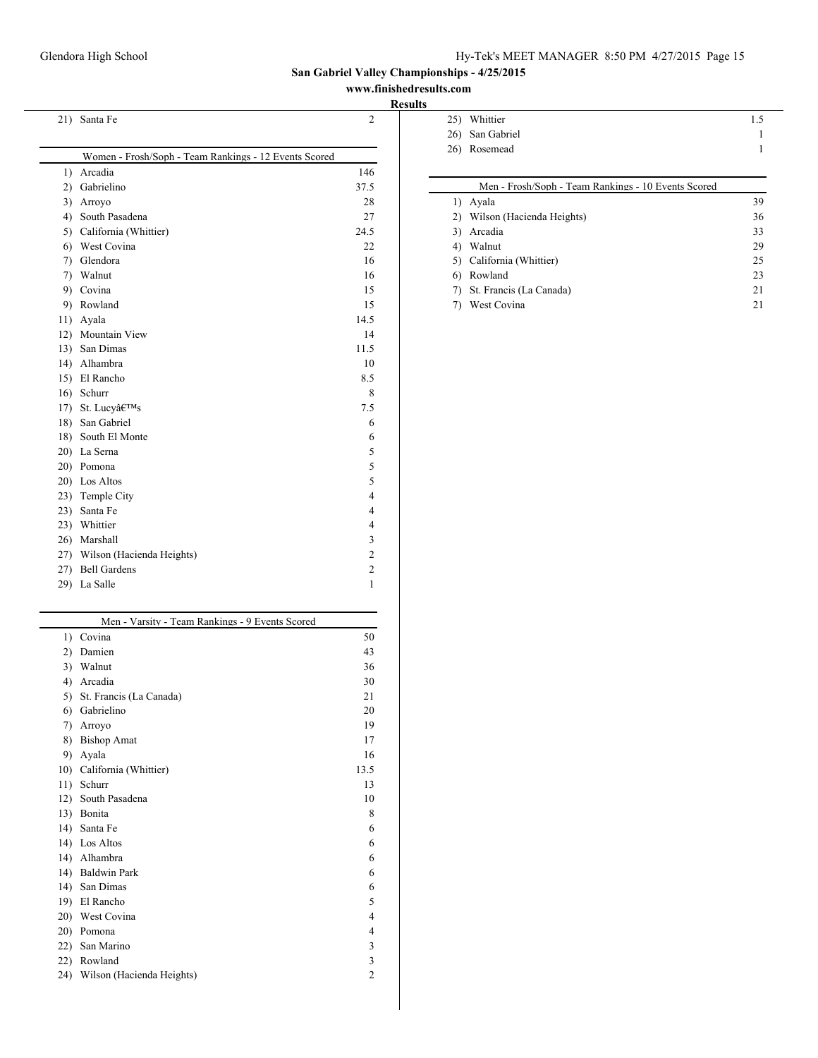### **www.finishedresults.com**

| 21) | Santa Fe                                              | $\overline{2}$          |
|-----|-------------------------------------------------------|-------------------------|
|     |                                                       |                         |
|     | Women - Frosh/Soph - Team Rankings - 12 Events Scored |                         |
| 1)  | Arcadia                                               | 146                     |
| 2)  | Gabrielino                                            | 37.5                    |
| 3)  | Arroyo                                                | 28                      |
| 4)  | South Pasadena                                        | 27                      |
|     | 5) California (Whittier)                              | 24.5                    |
|     | 6) West Covina                                        | 22                      |
| 7)  | Glendora                                              | 16                      |
|     | 7) Walnut                                             | 16                      |
| 9)  | Covina                                                | 15                      |
| 9)  | Rowland                                               | 15                      |
|     | 11) Ayala                                             | 14.5                    |
|     | 12) Mountain View                                     | 14                      |
| 13) | San Dimas                                             | 11.5                    |
|     | 14) Alhambra                                          | 10                      |
|     | 15) El Rancho                                         | 8.5                     |
| 16) | Schurr                                                | 8                       |
| 17) | St. Lucy's                                            | 7.5                     |
| 18) | San Gabriel                                           | 6                       |
| 18) | South El Monte                                        | 6                       |
|     | 20) La Serna                                          | 5                       |
|     | 20) Pomona                                            | 5                       |
|     | 20) Los Altos                                         | 5                       |
|     | 23) Temple City                                       | $\overline{\mathbf{4}}$ |
| 23) | Santa Fe                                              | $\overline{\mathbf{4}}$ |
|     | 23) Whittier                                          | $\overline{\mathbf{4}}$ |
|     | 26) Marshall                                          | 3                       |
|     | 27) Wilson (Hacienda Heights)                         | $\overline{c}$          |
|     | 27) Bell Gardens                                      | $\overline{c}$          |
| 29) | La Salle                                              | $\mathbf{1}$            |

| Men - Varsity - Team Rankings - 9 Events Scored |                           |      |  |  |
|-------------------------------------------------|---------------------------|------|--|--|
| 1)                                              | Covina                    | 50   |  |  |
| $\mathbf{2}$                                    | Damien                    | 43   |  |  |
| 3)                                              | Walnut                    | 36   |  |  |
| 4)                                              | Arcadia                   | 30   |  |  |
| 5)                                              | St. Francis (La Canada)   | 21   |  |  |
| 6)                                              | Gabrielino                | 20   |  |  |
| 7)                                              | Arroyo                    | 19   |  |  |
| 8)                                              | <b>Bishop Amat</b>        | 17   |  |  |
| 9)                                              | Ayala                     | 16   |  |  |
| 10)                                             | California (Whittier)     | 13.5 |  |  |
| 11)                                             | Schurr                    | 13   |  |  |
| 12)                                             | South Pasadena            | 10   |  |  |
| 13)                                             | Bonita                    | 8    |  |  |
| 14)                                             | Santa Fe                  | 6    |  |  |
| 14)                                             | Los Altos                 | 6    |  |  |
| 14)                                             | Alhambra                  | 6    |  |  |
| 14)                                             | <b>Baldwin Park</b>       | 6    |  |  |
| 14)                                             | San Dimas                 | 6    |  |  |
| 19)                                             | El Rancho                 | 5    |  |  |
| 20)                                             | West Covina               | 4    |  |  |
| 20)                                             | Pomona                    | 4    |  |  |
| 22)                                             | San Marino                | 3    |  |  |
| 22)                                             | Rowland                   | 3    |  |  |
| 24)                                             | Wilson (Hacienda Heights) | 2    |  |  |
|                                                 |                           |      |  |  |

| 25) Whittier    | 1.5 |
|-----------------|-----|
| 26) San Gabriel |     |
| 26) Rosemead    |     |
|                 |     |

|    | Men - Frosh/Soph - Team Rankings - 10 Events Scored |    |
|----|-----------------------------------------------------|----|
| 1) | Avala                                               | 39 |
| 2) | Wilson (Hacienda Heights)                           | 36 |
| 3) | Arcadia                                             | 33 |
| 4) | Walnut                                              | 29 |
|    | California (Whittier)                               | 25 |
| 6) | Rowland                                             | 23 |
| 7) | St. Francis (La Canada)                             | 21 |
|    | West Covina                                         | 21 |